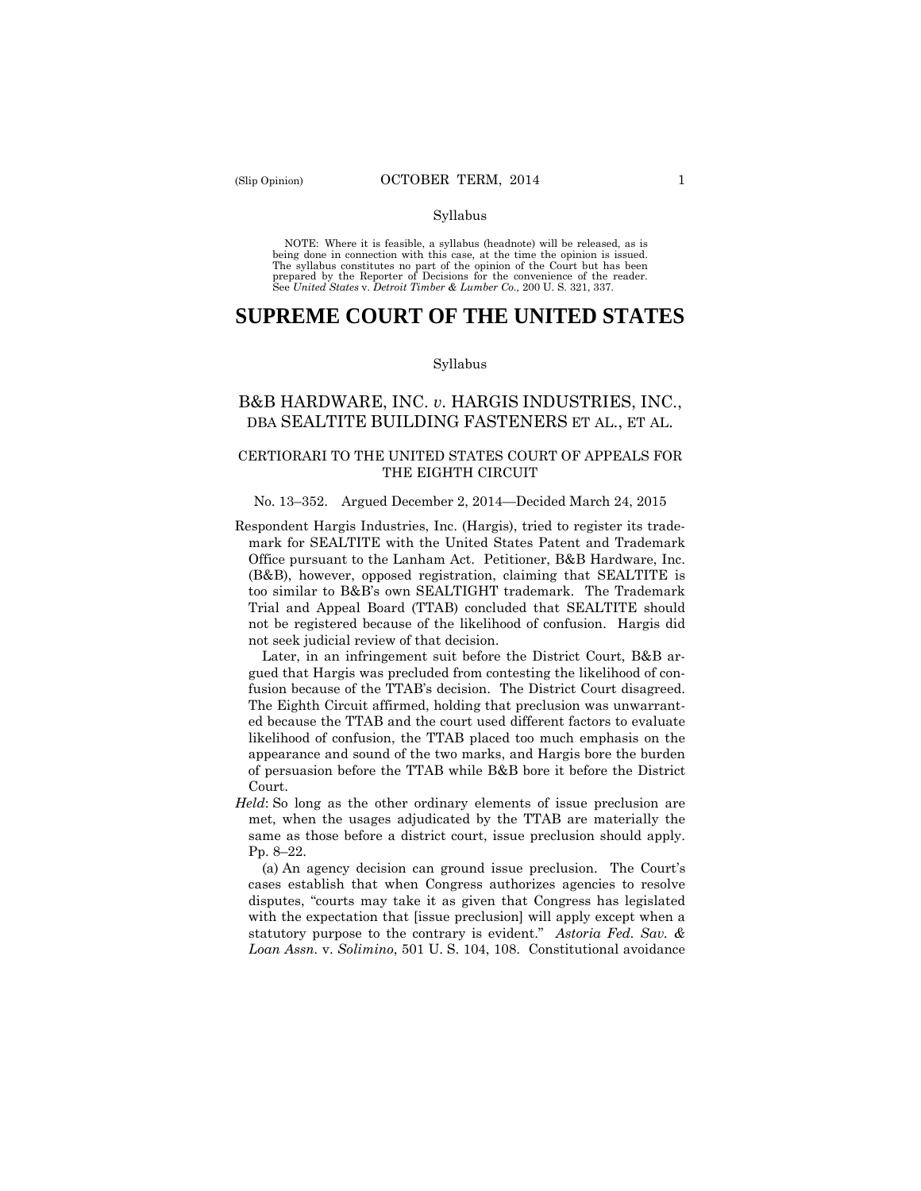#### Syllabus

 NOTE: Where it is feasible, a syllabus (headnote) will be released, as is being done in connection with this case, at the time the opinion is issued. The syllabus constitutes no part of the opinion of the Court but has been<br>prepared by the Reporter of Decisions for the convenience of the reader.<br>See United States v. Detroit Timber & Lumber Co., 200 U.S. 321, 337.

# **SUPREME COURT OF THE UNITED STATES**

#### Syllabus

# DBA SEALTITE BUILDING FASTENERS ET AL., ET AL. B&B HARDWARE, INC. *v*. HARGIS INDUSTRIES, INC.,

# CERTIORARI TO THE UNITED STATES COURT OF APPEALS FOR THE EIGHTH CIRCUIT

#### No. 13–352. Argued December 2, 2014—Decided March 24, 2015

Respondent Hargis Industries, Inc. (Hargis), tried to register its trademark for SEALTITE with the United States Patent and Trademark Office pursuant to the Lanham Act. Petitioner, B&B Hardware, Inc. (B&B), however, opposed registration, claiming that SEALTITE is too similar to B&B's own SEALTIGHT trademark. The Trademark Trial and Appeal Board (TTAB) concluded that SEALTITE should not be registered because of the likelihood of confusion. Hargis did not seek judicial review of that decision.

Later, in an infringement suit before the District Court, B&B argued that Hargis was precluded from contesting the likelihood of confusion because of the TTAB's decision. The District Court disagreed. The Eighth Circuit affirmed, holding that preclusion was unwarranted because the TTAB and the court used different factors to evaluate likelihood of confusion, the TTAB placed too much emphasis on the appearance and sound of the two marks, and Hargis bore the burden of persuasion before the TTAB while B&B bore it before the District Court.

*Held*: So long as the other ordinary elements of issue preclusion are met, when the usages adjudicated by the TTAB are materially the same as those before a district court, issue preclusion should apply. Pp. 8–22.

(a) An agency decision can ground issue preclusion. The Court's cases establish that when Congress authorizes agencies to resolve disputes, "courts may take it as given that Congress has legislated with the expectation that [issue preclusion] will apply except when a statutory purpose to the contrary is evident." *Astoria Fed. Sav. & Loan Assn.* v. *Solimino*, 501 U. S. 104, 108. Constitutional avoidance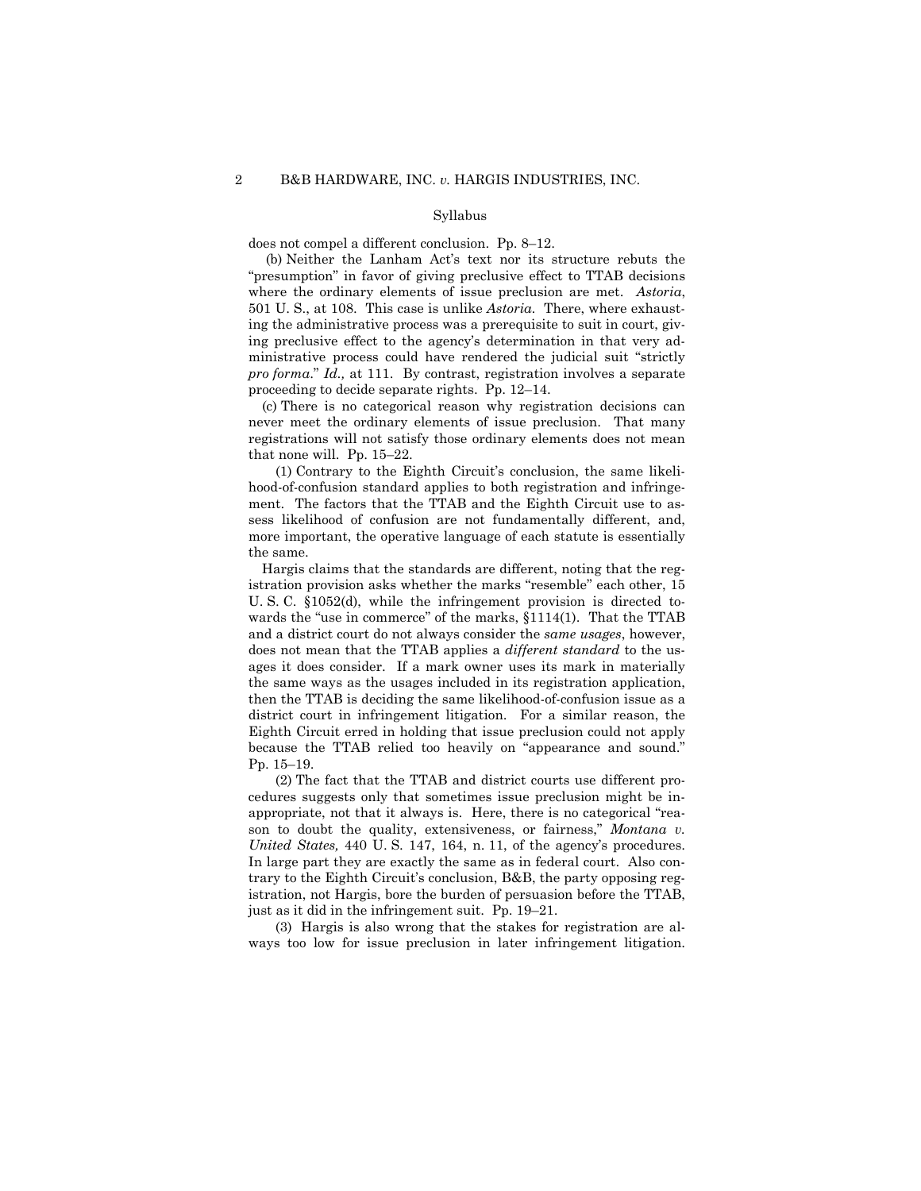#### Syllabus

does not compel a different conclusion. Pp. 8–12.

(b) Neither the Lanham Act's text nor its structure rebuts the "presumption" in favor of giving preclusive effect to TTAB decisions where the ordinary elements of issue preclusion are met. *Astoria*, 501 U. S., at 108. This case is unlike *Astoria.* There, where exhausting the administrative process was a prerequisite to suit in court, giving preclusive effect to the agency's determination in that very administrative process could have rendered the judicial suit "strictly *pro forma*." *Id.,* at 111. By contrast, registration involves a separate proceeding to decide separate rights. Pp. 12–14.

 that none will. Pp. 15–22. (c) There is no categorical reason why registration decisions can never meet the ordinary elements of issue preclusion. That many registrations will not satisfy those ordinary elements does not mean

(1) Contrary to the Eighth Circuit's conclusion, the same likelihood-of-confusion standard applies to both registration and infringement. The factors that the TTAB and the Eighth Circuit use to assess likelihood of confusion are not fundamentally different, and, more important, the operative language of each statute is essentially the same.

Hargis claims that the standards are different, noting that the registration provision asks whether the marks "resemble" each other, 15 U. S. C. §1052(d), while the infringement provision is directed towards the "use in commerce" of the marks, §1114(1). That the TTAB and a district court do not always consider the *same usages*, however, does not mean that the TTAB applies a *different standard* to the usages it does consider. If a mark owner uses its mark in materially the same ways as the usages included in its registration application, then the TTAB is deciding the same likelihood-of-confusion issue as a district court in infringement litigation. For a similar reason, the Eighth Circuit erred in holding that issue preclusion could not apply because the TTAB relied too heavily on "appearance and sound." Pp. 15–19.

(2) The fact that the TTAB and district courts use different procedures suggests only that sometimes issue preclusion might be inappropriate, not that it always is. Here, there is no categorical "reason to doubt the quality, extensiveness, or fairness," *Montana v. United States,* 440 U. S. 147, 164, n. 11, of the agency's procedures. In large part they are exactly the same as in federal court. Also contrary to the Eighth Circuit's conclusion, B&B, the party opposing registration, not Hargis, bore the burden of persuasion before the TTAB, just as it did in the infringement suit. Pp. 19–21.

(3) Hargis is also wrong that the stakes for registration are always too low for issue preclusion in later infringement litigation.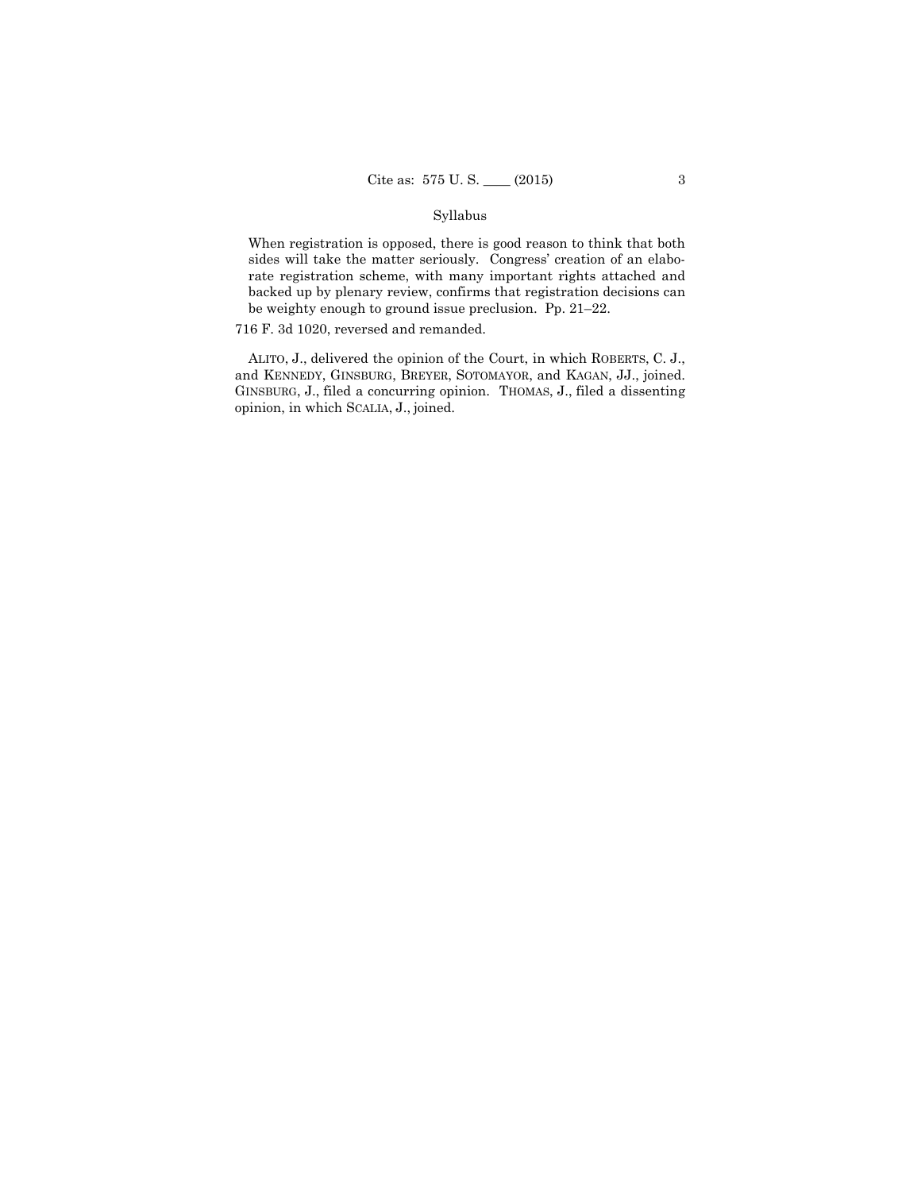## Syllabus

When registration is opposed, there is good reason to think that both sides will take the matter seriously. Congress' creation of an elaborate registration scheme, with many important rights attached and backed up by plenary review, confirms that registration decisions can be weighty enough to ground issue preclusion. Pp. 21–22.

716 F. 3d 1020, reversed and remanded.

 ALITO, J., delivered the opinion of the Court, in which ROBERTS, C. J., and KENNEDY, GINSBURG, BREYER, SOTOMAYOR, and KAGAN, JJ., joined. GINSBURG, J., filed a concurring opinion. THOMAS, J., filed a dissenting opinion, in which SCALIA, J., joined.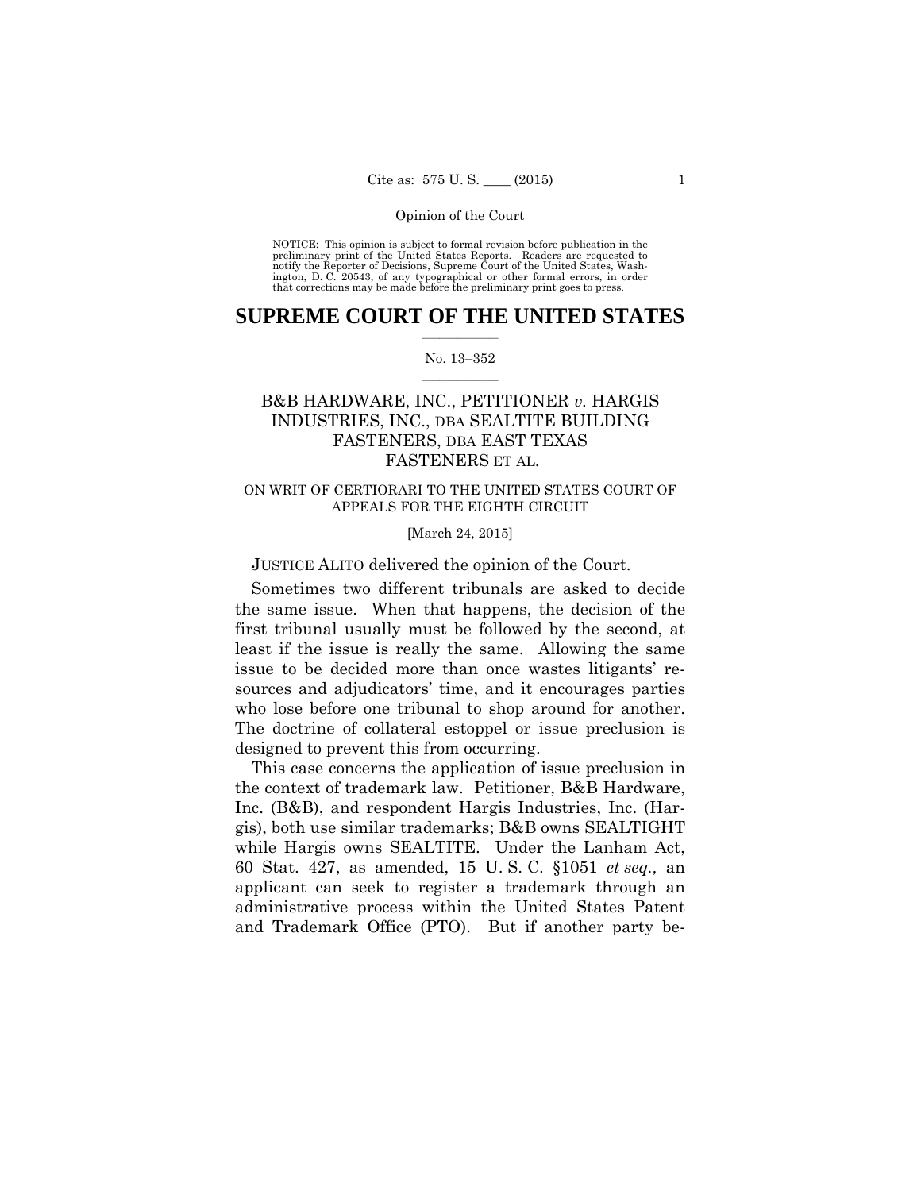preliminary print of the United States Reports. Readers are requested to notify the Reporter of Decisions, Supreme Court of the United States, Wash- ington, D. C. 20543, of any typographical or other formal errors, in order that corrections may be made before the preliminary print goes to press. NOTICE: This opinion is subject to formal revision before publication in the

## $\frac{1}{2}$  , where  $\frac{1}{2}$ **SUPREME COURT OF THE UNITED STATES**

#### $\frac{1}{2}$  ,  $\frac{1}{2}$  ,  $\frac{1}{2}$  ,  $\frac{1}{2}$  ,  $\frac{1}{2}$  ,  $\frac{1}{2}$ No. 13–352

# B&B HARDWARE, INC., PETITIONER *v.* HARGIS INDUSTRIES, INC., DBA SEALTITE BUILDING FASTENERS, DBA EAST TEXAS FASTENERS ET AL.

# ON WRIT OF CERTIORARI TO THE UNITED STATES COURT OF APPEALS FOR THE EIGHTH CIRCUIT

## [March 24, 2015]

JUSTICE ALITO delivered the opinion of the Court.

Sometimes two different tribunals are asked to decide the same issue. When that happens, the decision of the first tribunal usually must be followed by the second, at least if the issue is really the same. Allowing the same issue to be decided more than once wastes litigants' resources and adjudicators' time, and it encourages parties who lose before one tribunal to shop around for another. The doctrine of collateral estoppel or issue preclusion is designed to prevent this from occurring.

 and Trademark Office (PTO). But if another party be-This case concerns the application of issue preclusion in the context of trademark law. Petitioner, B&B Hardware, Inc. (B&B), and respondent Hargis Industries, Inc. (Hargis), both use similar trademarks; B&B owns SEALTIGHT while Hargis owns SEALTITE. Under the Lanham Act, 60 Stat. 427, as amended, 15 U. S. C. §1051 *et seq.,* an applicant can seek to register a trademark through an administrative process within the United States Patent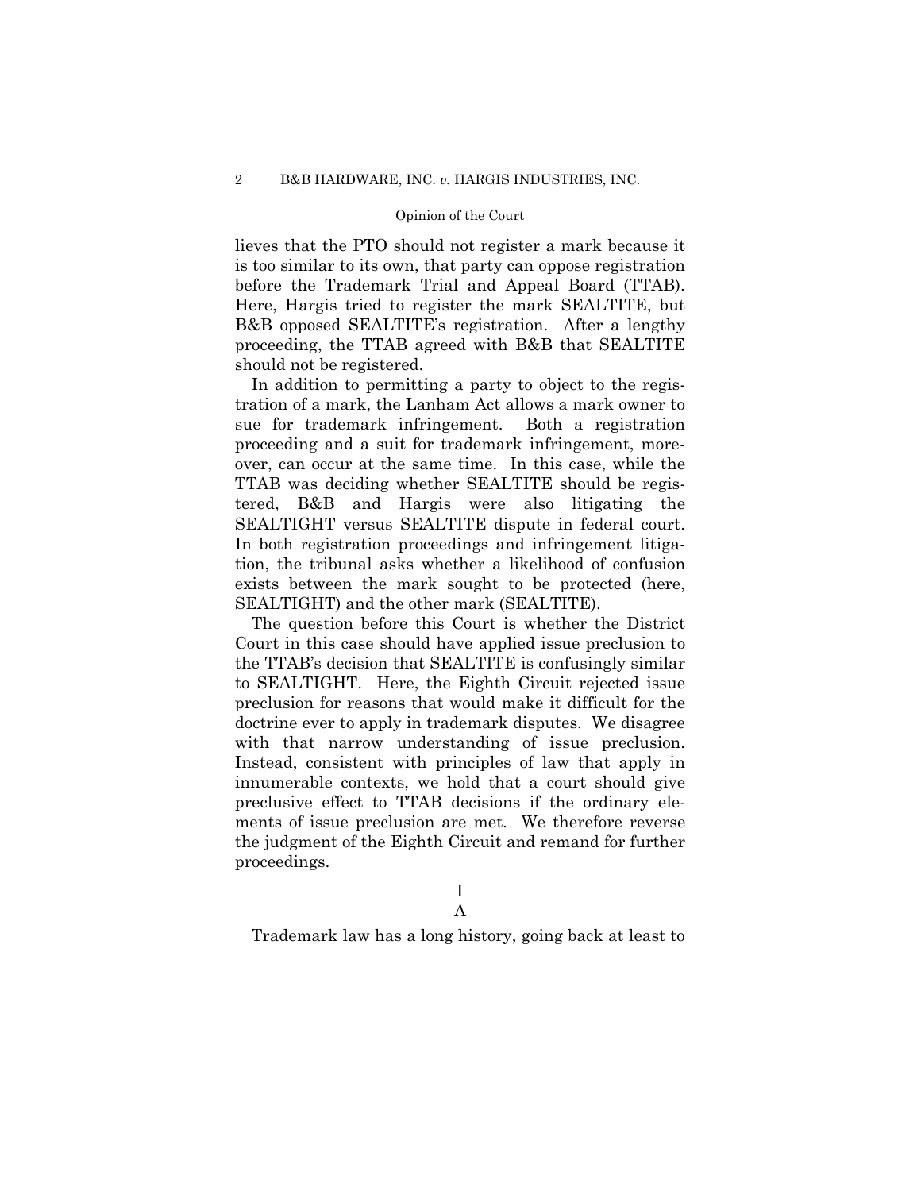lieves that the PTO should not register a mark because it is too similar to its own, that party can oppose registration before the Trademark Trial and Appeal Board (TTAB). Here, Hargis tried to register the mark SEALTITE, but B&B opposed SEALTITE's registration. After a lengthy proceeding, the TTAB agreed with B&B that SEALTITE should not be registered.

In addition to permitting a party to object to the registration of a mark, the Lanham Act allows a mark owner to sue for trademark infringement. Both a registration proceeding and a suit for trademark infringement, moreover, can occur at the same time. In this case, while the TTAB was deciding whether SEALTITE should be registered, B&B and Hargis were also litigating the SEALTIGHT versus SEALTITE dispute in federal court. In both registration proceedings and infringement litigation, the tribunal asks whether a likelihood of confusion exists between the mark sought to be protected (here, SEALTIGHT) and the other mark (SEALTITE).

The question before this Court is whether the District Court in this case should have applied issue preclusion to the TTAB's decision that SEALTITE is confusingly similar to SEALTIGHT. Here, the Eighth Circuit rejected issue preclusion for reasons that would make it difficult for the doctrine ever to apply in trademark disputes. We disagree with that narrow understanding of issue preclusion. Instead, consistent with principles of law that apply in innumerable contexts, we hold that a court should give preclusive effect to TTAB decisions if the ordinary elements of issue preclusion are met. We therefore reverse the judgment of the Eighth Circuit and remand for further proceedings.

I

A

Trademark law has a long history, going back at least to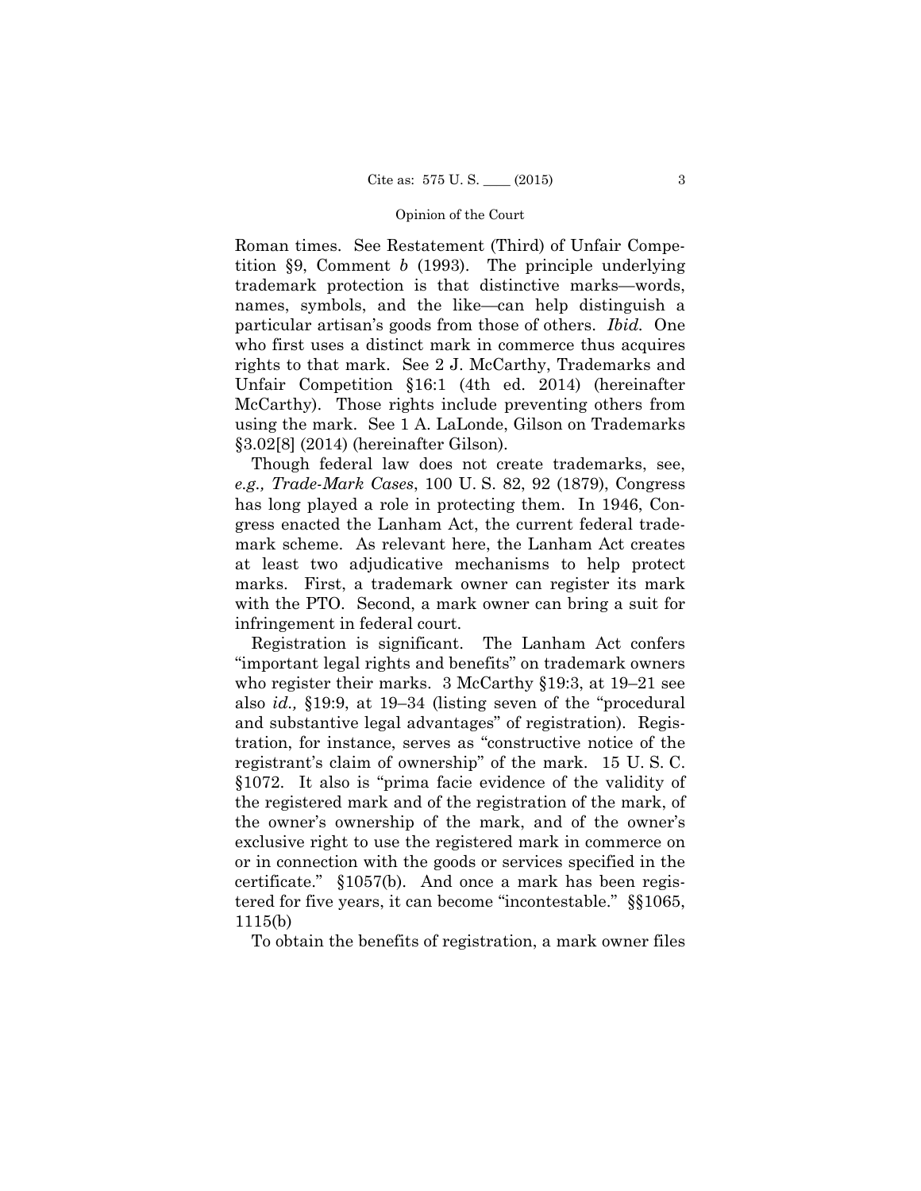Roman times. See Restatement (Third) of Unfair Competition §9, Comment *b* (1993). The principle underlying trademark protection is that distinctive marks—words, names, symbols, and the like—can help distinguish a particular artisan's goods from those of others. *Ibid.* One who first uses a distinct mark in commerce thus acquires rights to that mark. See 2 J. McCarthy, Trademarks and Unfair Competition §16:1 (4th ed. 2014) (hereinafter McCarthy). Those rights include preventing others from using the mark. See 1 A. LaLonde, Gilson on Trademarks §3.02[8] (2014) (hereinafter Gilson).

Though federal law does not create trademarks, see, *e.g., Trade-Mark Cases*, 100 U. S. 82, 92 (1879), Congress has long played a role in protecting them. In 1946, Congress enacted the Lanham Act, the current federal trademark scheme. As relevant here, the Lanham Act creates at least two adjudicative mechanisms to help protect marks. First, a trademark owner can register its mark with the PTO. Second, a mark owner can bring a suit for infringement in federal court.

Registration is significant. The Lanham Act confers "important legal rights and benefits" on trademark owners who register their marks. 3 McCarthy §19:3, at 19–21 see also *id.,* §19:9, at 19–34 (listing seven of the "procedural and substantive legal advantages" of registration). Registration, for instance, serves as "constructive notice of the registrant's claim of ownership" of the mark. 15 U. S. C. §1072. It also is "prima facie evidence of the validity of the registered mark and of the registration of the mark, of the owner's ownership of the mark, and of the owner's exclusive right to use the registered mark in commerce on or in connection with the goods or services specified in the certificate." §1057(b). And once a mark has been registered for five years, it can become "incontestable." §§1065, 1115(b)

To obtain the benefits of registration, a mark owner files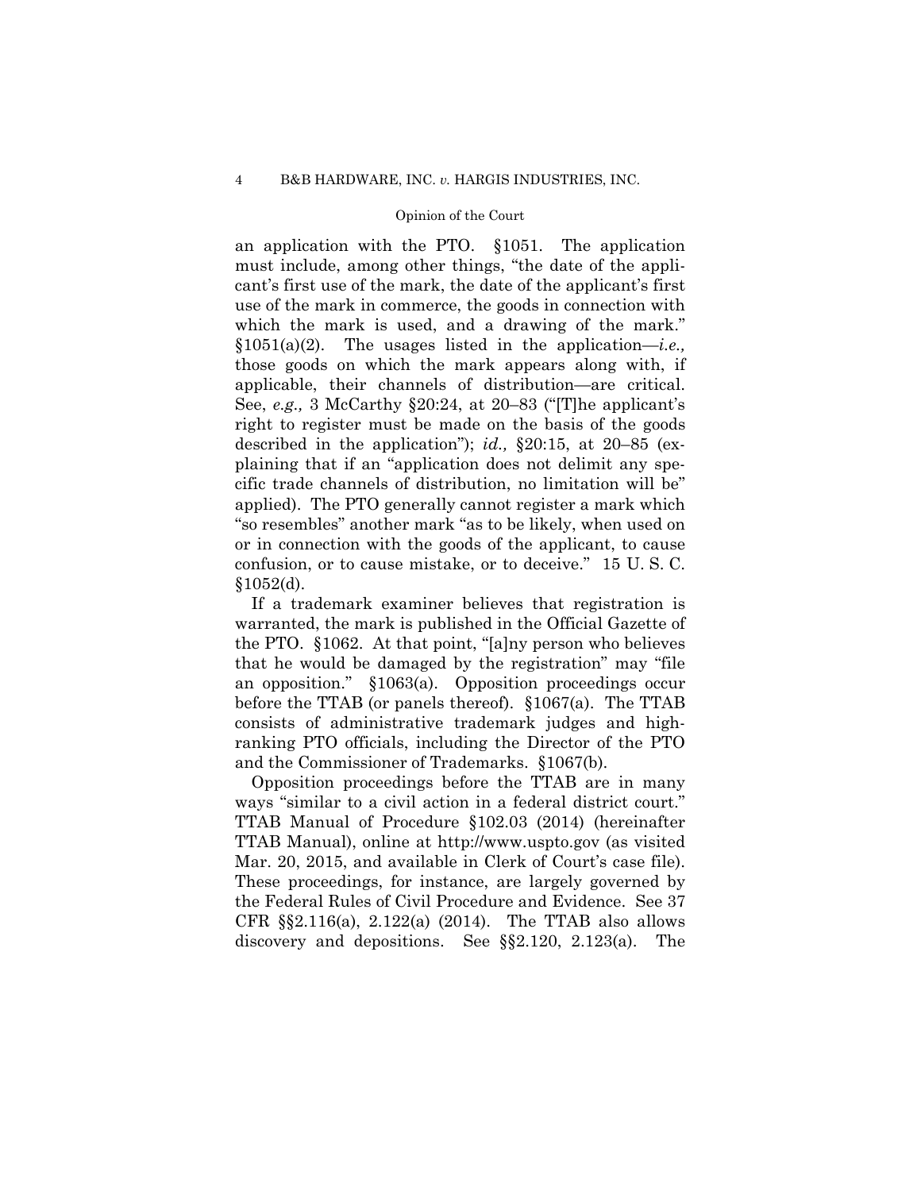an application with the PTO. §1051. The application must include, among other things, "the date of the applicant's first use of the mark, the date of the applicant's first use of the mark in commerce, the goods in connection with which the mark is used, and a drawing of the mark."  $§1051(a)(2)$ . The usages listed in the application—*i.e.*, those goods on which the mark appears along with, if applicable, their channels of distribution—are critical. See, *e.g.,* 3 McCarthy §20:24, at 20–83 ("[T]he applicant's right to register must be made on the basis of the goods described in the application"); *id.,* §20:15, at 20–85 (explaining that if an "application does not delimit any specific trade channels of distribution, no limitation will be" applied). The PTO generally cannot register a mark which "so resembles" another mark "as to be likely, when used on or in connection with the goods of the applicant, to cause confusion, or to cause mistake, or to deceive." 15 U. S. C.  $$1052(d).$ 

If a trademark examiner believes that registration is warranted, the mark is published in the Official Gazette of the PTO. §1062. At that point, "[a]ny person who believes that he would be damaged by the registration" may "file an opposition." §1063(a). Opposition proceedings occur before the TTAB (or panels thereof). §1067(a). The TTAB consists of administrative trademark judges and highranking PTO officials, including the Director of the PTO and the Commissioner of Trademarks. §1067(b).

Opposition proceedings before the TTAB are in many ways "similar to a civil action in a federal district court." TTAB Manual of Procedure §102.03 (2014) (hereinafter TTAB Manual), online at http://www.uspto.gov (as visited Mar. 20, 2015, and available in Clerk of Court's case file). These proceedings, for instance, are largely governed by the Federal Rules of Civil Procedure and Evidence. See 37 CFR §§2.116(a), 2.122(a) (2014). The TTAB also allows discovery and depositions. See §§2.120, 2.123(a). The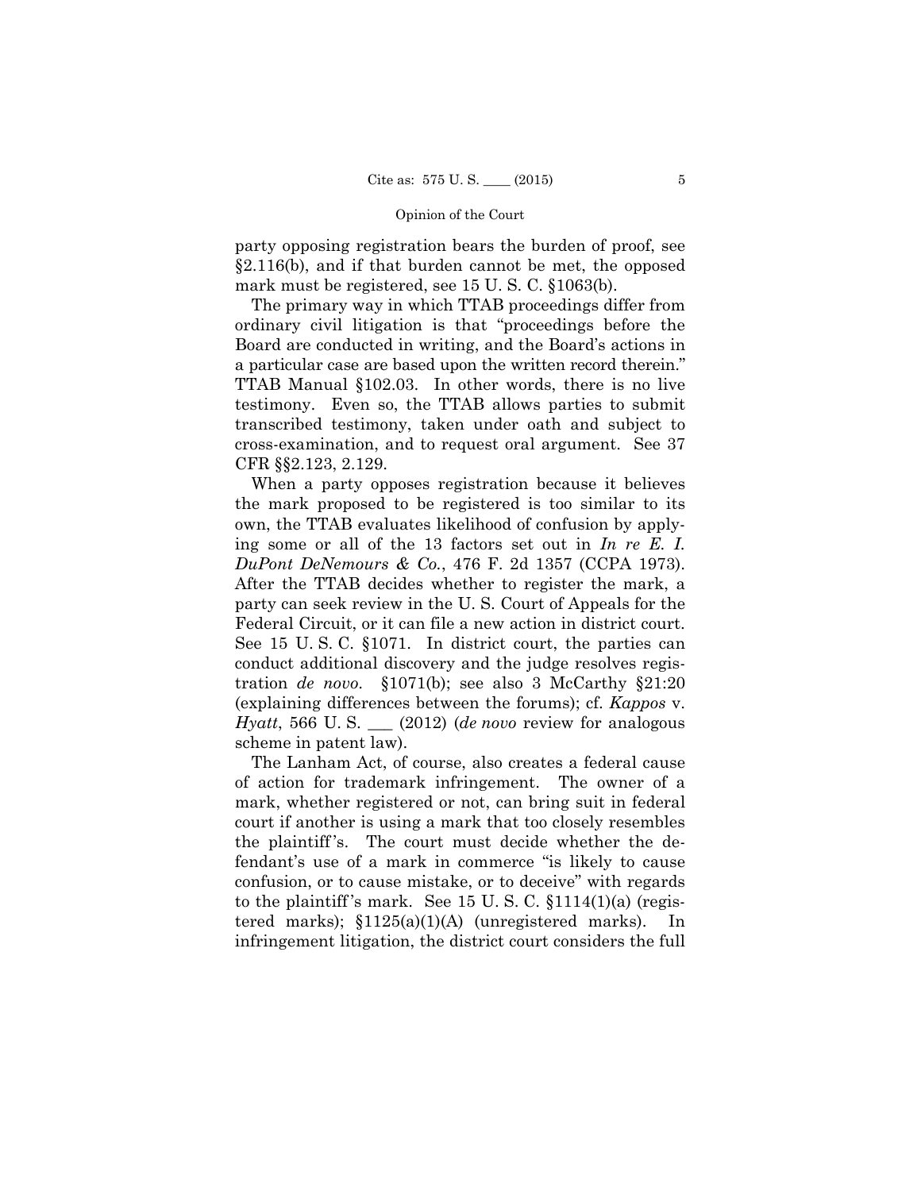party opposing registration bears the burden of proof, see §2.116(b), and if that burden cannot be met, the opposed mark must be registered, see 15 U. S. C. §1063(b).

The primary way in which TTAB proceedings differ from ordinary civil litigation is that "proceedings before the Board are conducted in writing, and the Board's actions in a particular case are based upon the written record therein." TTAB Manual §102.03. In other words, there is no live testimony. Even so, the TTAB allows parties to submit transcribed testimony, taken under oath and subject to cross-examination, and to request oral argument. See 37 CFR §§2.123, 2.129.

When a party opposes registration because it believes the mark proposed to be registered is too similar to its own, the TTAB evaluates likelihood of confusion by applying some or all of the 13 factors set out in *In re E. I. DuPont DeNemours & Co.*, 476 F. 2d 1357 (CCPA 1973). After the TTAB decides whether to register the mark, a party can seek review in the U. S. Court of Appeals for the Federal Circuit, or it can file a new action in district court. See 15 U. S. C. §1071. In district court, the parties can conduct additional discovery and the judge resolves registration *de novo*. §1071(b); see also 3 McCarthy §21:20 (explaining differences between the forums); cf. *Kappos* v. *Hyatt*, 566 U. S. \_\_\_ (2012) (*de novo* review for analogous scheme in patent law).

The Lanham Act, of course, also creates a federal cause of action for trademark infringement. The owner of a mark, whether registered or not, can bring suit in federal court if another is using a mark that too closely resembles the plaintiff 's. The court must decide whether the defendant's use of a mark in commerce "is likely to cause confusion, or to cause mistake, or to deceive" with regards to the plaintiff's mark. See 15 U.S.C.  $\S 1114(1)(a)$  (registered marks); §1125(a)(1)(A) (unregistered marks). In infringement litigation, the district court considers the full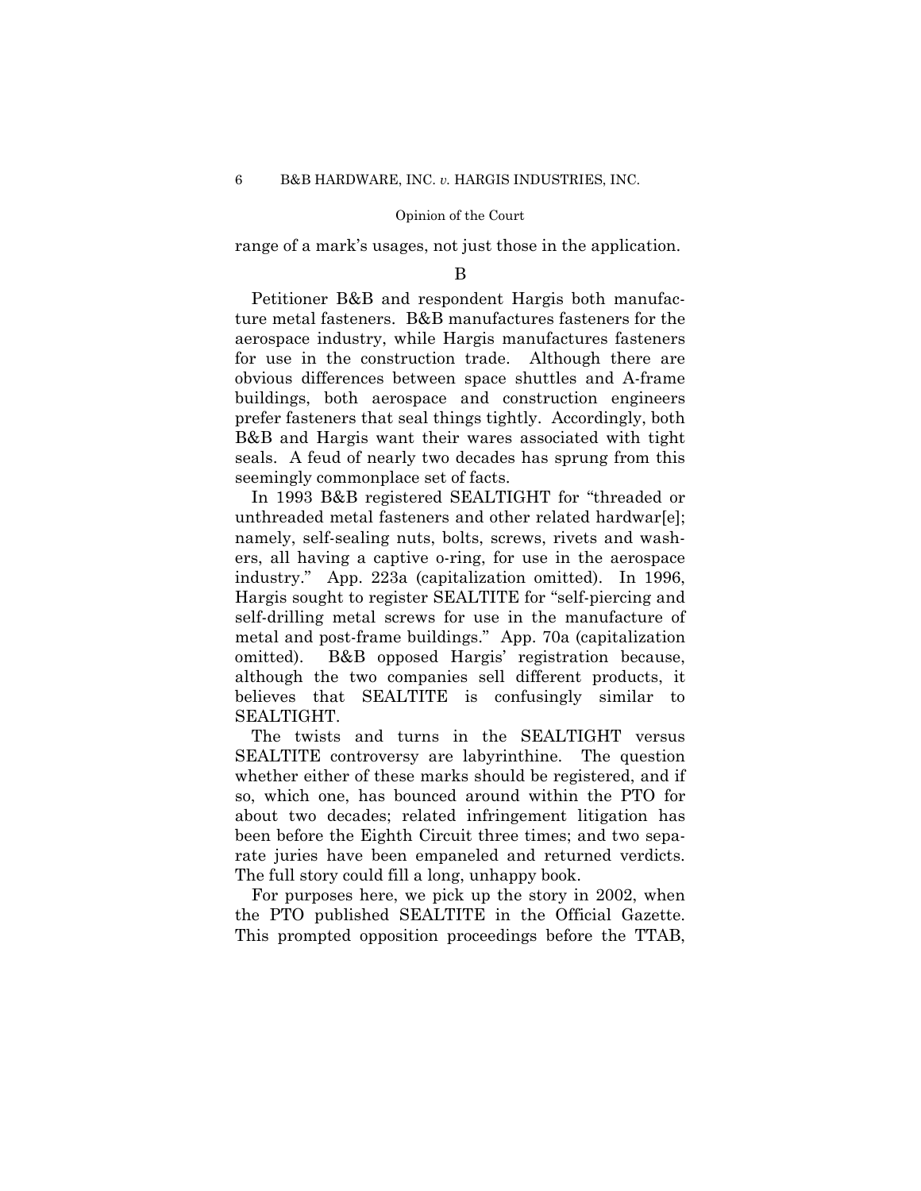range of a mark's usages, not just those in the application.

# B

Petitioner B&B and respondent Hargis both manufacture metal fasteners. B&B manufactures fasteners for the aerospace industry, while Hargis manufactures fasteners for use in the construction trade. Although there are obvious differences between space shuttles and A-frame buildings, both aerospace and construction engineers prefer fasteners that seal things tightly. Accordingly, both B&B and Hargis want their wares associated with tight seals. A feud of nearly two decades has sprung from this seemingly commonplace set of facts.

In 1993 B&B registered SEALTIGHT for "threaded or unthreaded metal fasteners and other related hardwar[e]; namely, self-sealing nuts, bolts, screws, rivets and washers, all having a captive o-ring, for use in the aerospace industry." App. 223a (capitalization omitted). In 1996, Hargis sought to register SEALTITE for "self-piercing and self-drilling metal screws for use in the manufacture of metal and post-frame buildings." App. 70a (capitalization omitted). B&B opposed Hargis' registration because, although the two companies sell different products, it believes that SEALTITE is confusingly similar to SEALTIGHT.

The twists and turns in the SEALTIGHT versus SEALTITE controversy are labyrinthine. The question whether either of these marks should be registered, and if so, which one, has bounced around within the PTO for about two decades; related infringement litigation has been before the Eighth Circuit three times; and two separate juries have been empaneled and returned verdicts. The full story could fill a long, unhappy book.

For purposes here, we pick up the story in 2002, when the PTO published SEALTITE in the Official Gazette. This prompted opposition proceedings before the TTAB,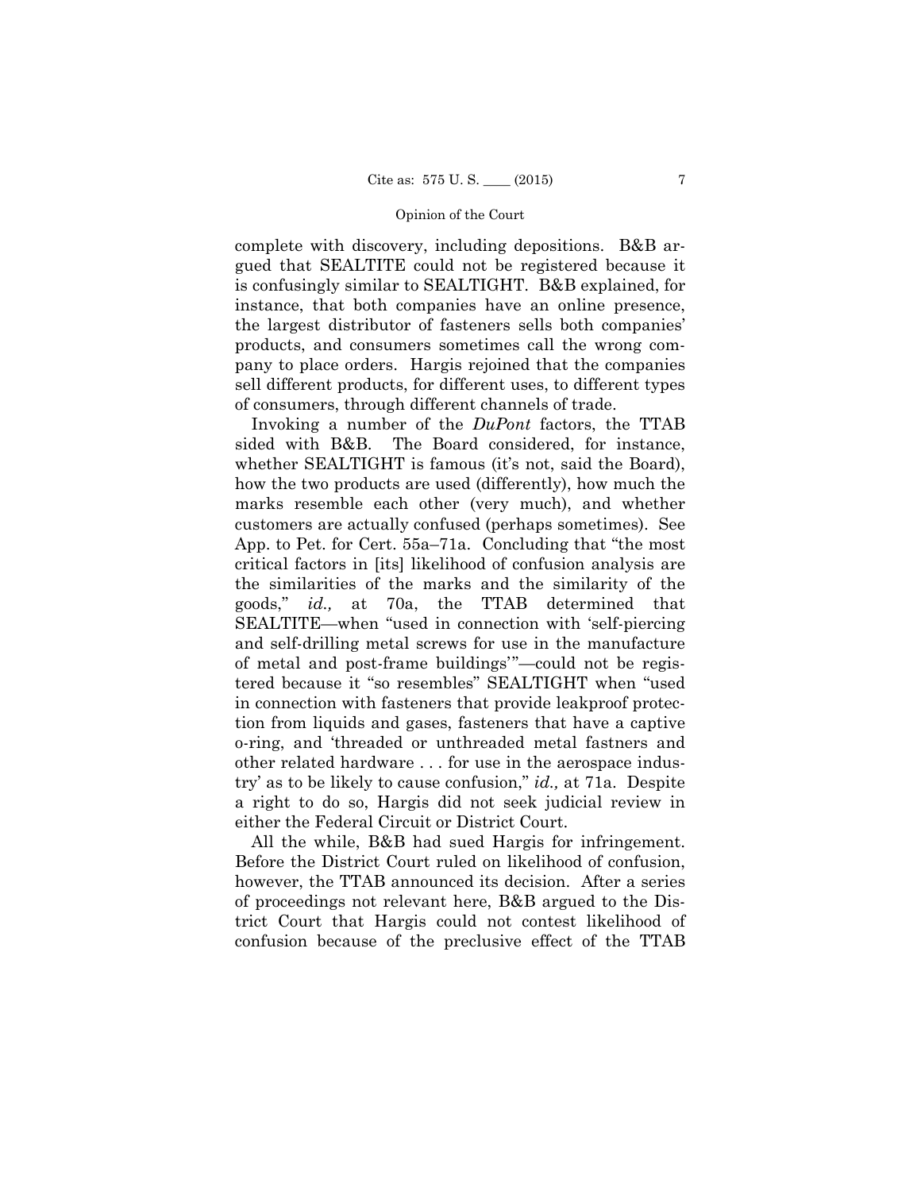complete with discovery, including depositions. B&B argued that SEALTITE could not be registered because it is confusingly similar to SEALTIGHT. B&B explained, for instance, that both companies have an online presence, the largest distributor of fasteners sells both companies' products, and consumers sometimes call the wrong company to place orders. Hargis rejoined that the companies sell different products, for different uses, to different types of consumers, through different channels of trade.

Invoking a number of the *DuPont* factors, the TTAB sided with B&B. The Board considered, for instance, whether SEALTIGHT is famous (it's not, said the Board), how the two products are used (differently), how much the marks resemble each other (very much), and whether customers are actually confused (perhaps sometimes). See App. to Pet. for Cert. 55a–71a. Concluding that "the most critical factors in [its] likelihood of confusion analysis are the similarities of the marks and the similarity of the goods," *id.,* at 70a, the TTAB determined that SEALTITE—when "used in connection with 'self-piercing and self-drilling metal screws for use in the manufacture of metal and post-frame buildings'"—could not be registered because it "so resembles" SEALTIGHT when "used in connection with fasteners that provide leakproof protection from liquids and gases, fasteners that have a captive o-ring, and 'threaded or unthreaded metal fastners and other related hardware . . . for use in the aerospace industry' as to be likely to cause confusion," *id.,* at 71a. Despite a right to do so, Hargis did not seek judicial review in either the Federal Circuit or District Court.

All the while, B&B had sued Hargis for infringement. Before the District Court ruled on likelihood of confusion, however, the TTAB announced its decision. After a series of proceedings not relevant here, B&B argued to the District Court that Hargis could not contest likelihood of confusion because of the preclusive effect of the TTAB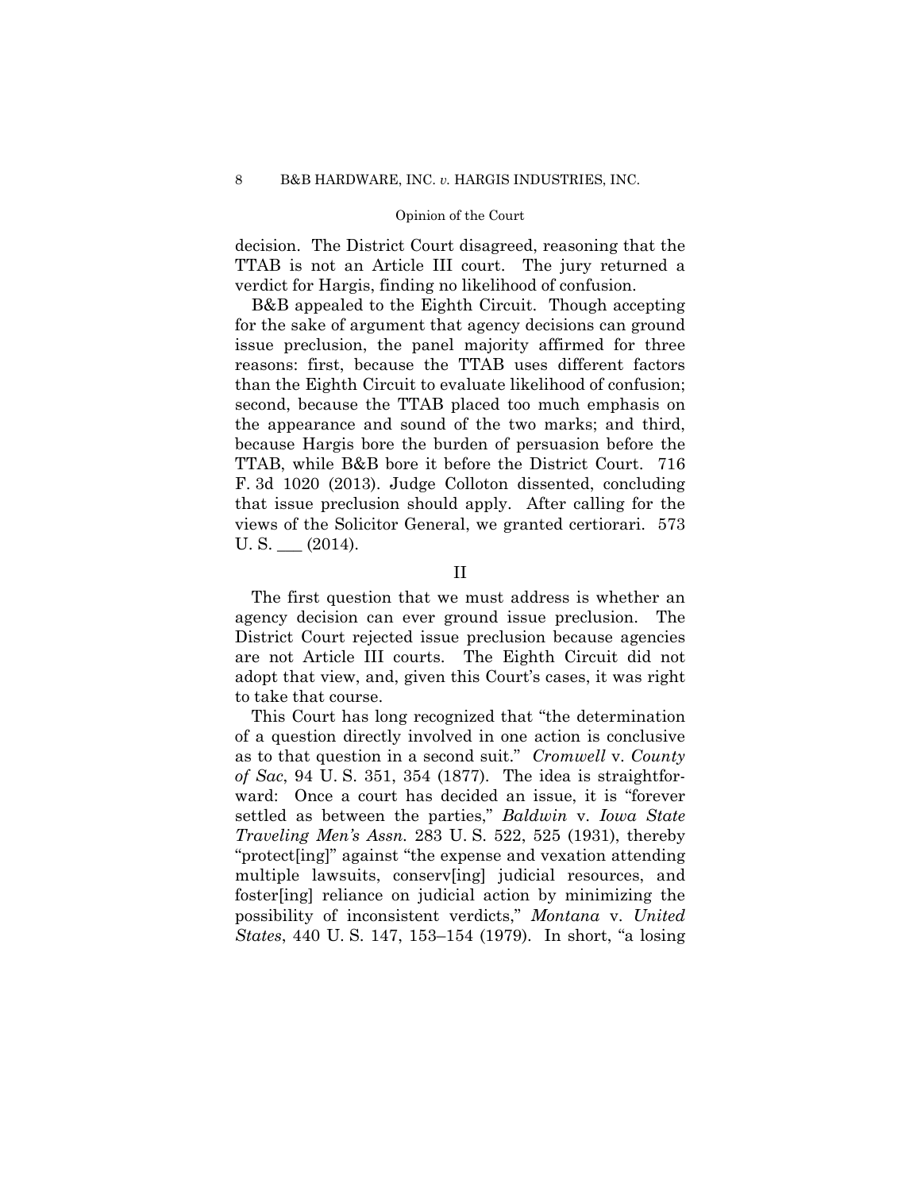decision. The District Court disagreed, reasoning that the TTAB is not an Article III court. The jury returned a verdict for Hargis, finding no likelihood of confusion.

B&B appealed to the Eighth Circuit. Though accepting for the sake of argument that agency decisions can ground issue preclusion, the panel majority affirmed for three reasons: first, because the TTAB uses different factors than the Eighth Circuit to evaluate likelihood of confusion; second, because the TTAB placed too much emphasis on the appearance and sound of the two marks; and third, because Hargis bore the burden of persuasion before the TTAB, while B&B bore it before the District Court. 716 F. 3d 1020 (2013). Judge Colloton dissented, concluding that issue preclusion should apply. After calling for the views of the Solicitor General, we granted certiorari. 573  $U.S.$  (2014).

The first question that we must address is whether an agency decision can ever ground issue preclusion. The District Court rejected issue preclusion because agencies are not Article III courts. The Eighth Circuit did not adopt that view, and, given this Court's cases, it was right to take that course.

This Court has long recognized that "the determination of a question directly involved in one action is conclusive as to that question in a second suit." *Cromwell* v. *County of Sac*, 94 U. S. 351, 354 (1877). The idea is straightforward: Once a court has decided an issue, it is "forever settled as between the parties," *Baldwin* v. *Iowa State Traveling Men's Assn.* 283 U. S. 522, 525 (1931), thereby "protect[ing]" against "the expense and vexation attending multiple lawsuits, conserv[ing] judicial resources, and foster[ing] reliance on judicial action by minimizing the possibility of inconsistent verdicts," *Montana* v. *United States*, 440 U. S. 147, 153–154 (1979). In short, "a losing

II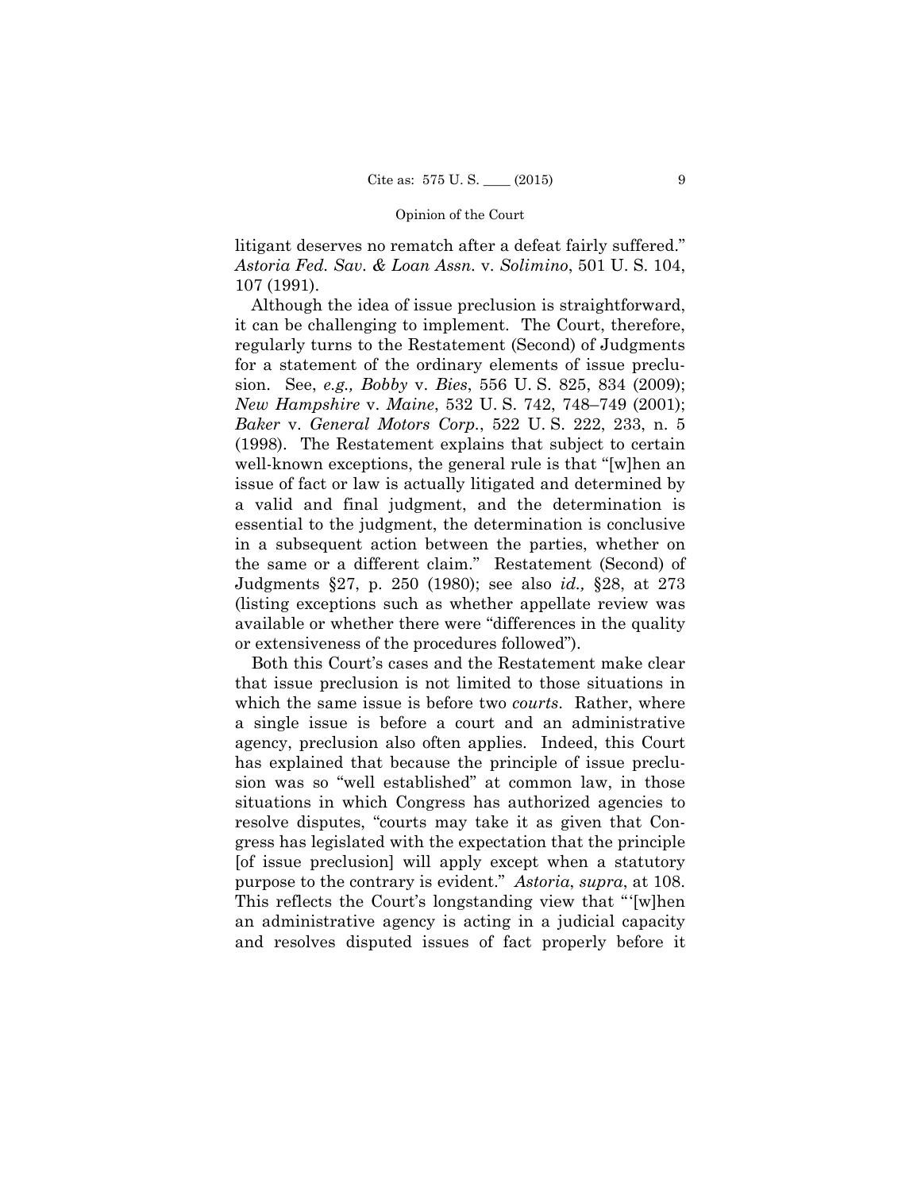litigant deserves no rematch after a defeat fairly suffered." *Astoria Fed. Sav. & Loan Assn.* v. *Solimino*, 501 U. S. 104, 107 (1991).

Although the idea of issue preclusion is straightforward, it can be challenging to implement. The Court, therefore, regularly turns to the Restatement (Second) of Judgments for a statement of the ordinary elements of issue preclusion. See, *e.g., Bobby* v. *Bies*, 556 U. S. 825, 834 (2009); *New Hampshire* v. *Maine*, 532 U. S. 742, 748–749 (2001); *Baker* v. *General Motors Corp.*, 522 U. S. 222, 233, n. 5 (1998). The Restatement explains that subject to certain well-known exceptions, the general rule is that "[w]hen an issue of fact or law is actually litigated and determined by a valid and final judgment, and the determination is essential to the judgment, the determination is conclusive in a subsequent action between the parties, whether on the same or a different claim." Restatement (Second) of Judgments §27, p. 250 (1980); see also *id.,* §28, at 273 (listing exceptions such as whether appellate review was available or whether there were "differences in the quality or extensiveness of the procedures followed").

 purpose to the contrary is evident." *Astoria*, *supra*, at 108. Both this Court's cases and the Restatement make clear that issue preclusion is not limited to those situations in which the same issue is before two *courts*. Rather, where a single issue is before a court and an administrative agency, preclusion also often applies. Indeed, this Court has explained that because the principle of issue preclusion was so "well established" at common law, in those situations in which Congress has authorized agencies to resolve disputes, "courts may take it as given that Congress has legislated with the expectation that the principle [of issue preclusion] will apply except when a statutory This reflects the Court's longstanding view that "'[w]hen an administrative agency is acting in a judicial capacity and resolves disputed issues of fact properly before it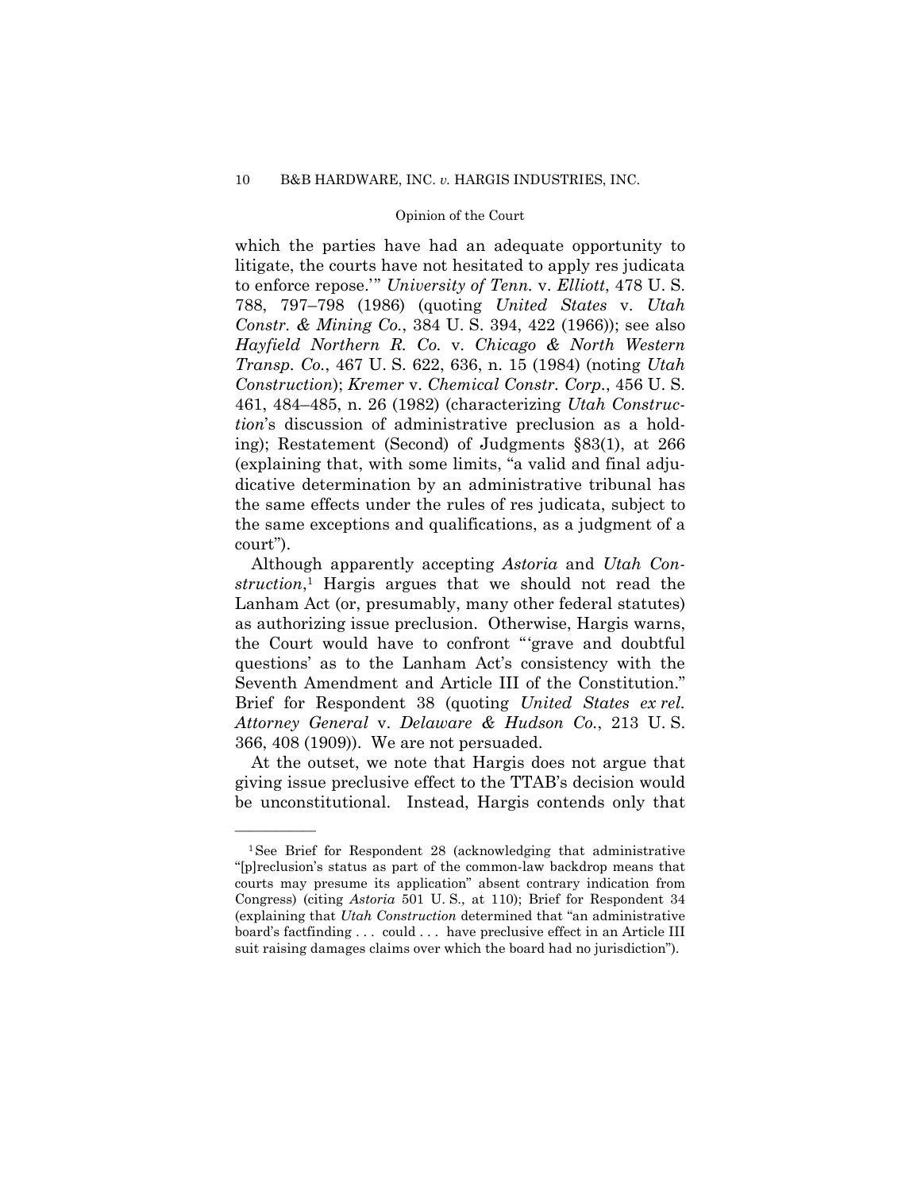which the parties have had an adequate opportunity to litigate, the courts have not hesitated to apply res judicata to enforce repose.'" *University of Tenn.* v. *Elliott*, 478 U. S. 788, 797–798 (1986) (quoting *United States* v. *Utah Constr. & Mining Co.*, 384 U. S. 394, 422 (1966)); see also *Hayfield Northern R. Co.* v. *Chicago & North Western Transp. Co.*, 467 U. S. 622, 636, n. 15 (1984) (noting *Utah Construction*); *Kremer* v. *Chemical Constr. Corp.*, 456 U. S. 461, 484–485, n. 26 (1982) (characterizing *Utah Construction*'s discussion of administrative preclusion as a holding); Restatement (Second) of Judgments §83(1), at 266 (explaining that, with some limits, "a valid and final adjudicative determination by an administrative tribunal has the same effects under the rules of res judicata, subject to the same exceptions and qualifications, as a judgment of a court").

Although apparently accepting *Astoria* and *Utah Construction*,1 Hargis argues that we should not read the Lanham Act (or, presumably, many other federal statutes) as authorizing issue preclusion. Otherwise, Hargis warns, the Court would have to confront "'grave and doubtful questions' as to the Lanham Act's consistency with the Seventh Amendment and Article III of the Constitution." Brief for Respondent 38 (quoting *United States ex rel. Attorney General* v. *Delaware & Hudson Co.*, 213 U. S. 366, 408 (1909)). We are not persuaded.

At the outset, we note that Hargis does not argue that giving issue preclusive effect to the TTAB's decision would be unconstitutional. Instead, Hargis contends only that

<sup>1</sup>See Brief for Respondent 28 (acknowledging that administrative "[p]reclusion's status as part of the common-law backdrop means that courts may presume its application" absent contrary indication from Congress) (citing *Astoria* 501 U. S., at 110); Brief for Respondent 34 (explaining that *Utah Construction* determined that "an administrative board's factfinding . . . could . . . have preclusive effect in an Article III suit raising damages claims over which the board had no jurisdiction").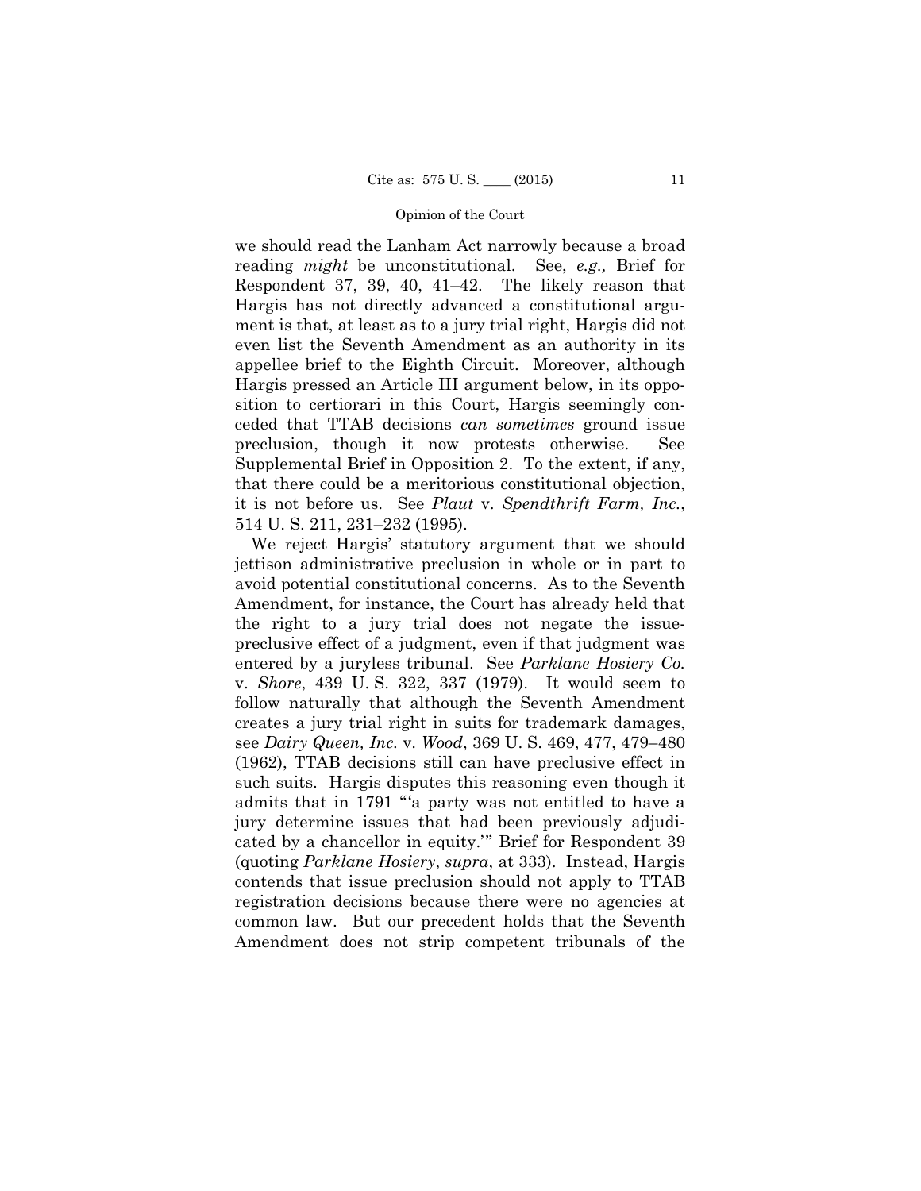we should read the Lanham Act narrowly because a broad reading *might* be unconstitutional. See, *e.g.,* Brief for Respondent 37, 39, 40, 41–42. The likely reason that Hargis has not directly advanced a constitutional argument is that, at least as to a jury trial right, Hargis did not even list the Seventh Amendment as an authority in its appellee brief to the Eighth Circuit. Moreover, although Hargis pressed an Article III argument below, in its opposition to certiorari in this Court, Hargis seemingly conceded that TTAB decisions *can sometimes* ground issue preclusion, though it now protests otherwise. See Supplemental Brief in Opposition 2. To the extent, if any, that there could be a meritorious constitutional objection, it is not before us. See *Plaut* v. *Spendthrift Farm, Inc.*, 514 U. S. 211, 231–232 (1995).

We reject Hargis' statutory argument that we should jettison administrative preclusion in whole or in part to avoid potential constitutional concerns. As to the Seventh Amendment, for instance, the Court has already held that the right to a jury trial does not negate the issuepreclusive effect of a judgment, even if that judgment was entered by a juryless tribunal. See *Parklane Hosiery Co.*  v. *Shore*, 439 U. S. 322, 337 (1979). It would seem to follow naturally that although the Seventh Amendment creates a jury trial right in suits for trademark damages, see *Dairy Queen, Inc.* v. *Wood*, 369 U. S. 469, 477, 479–480 (1962), TTAB decisions still can have preclusive effect in such suits. Hargis disputes this reasoning even though it admits that in 1791 "'a party was not entitled to have a jury determine issues that had been previously adjudicated by a chancellor in equity.'" Brief for Respondent 39 (quoting *Parklane Hosiery*, *supra*, at 333). Instead, Hargis contends that issue preclusion should not apply to TTAB registration decisions because there were no agencies at common law. But our precedent holds that the Seventh Amendment does not strip competent tribunals of the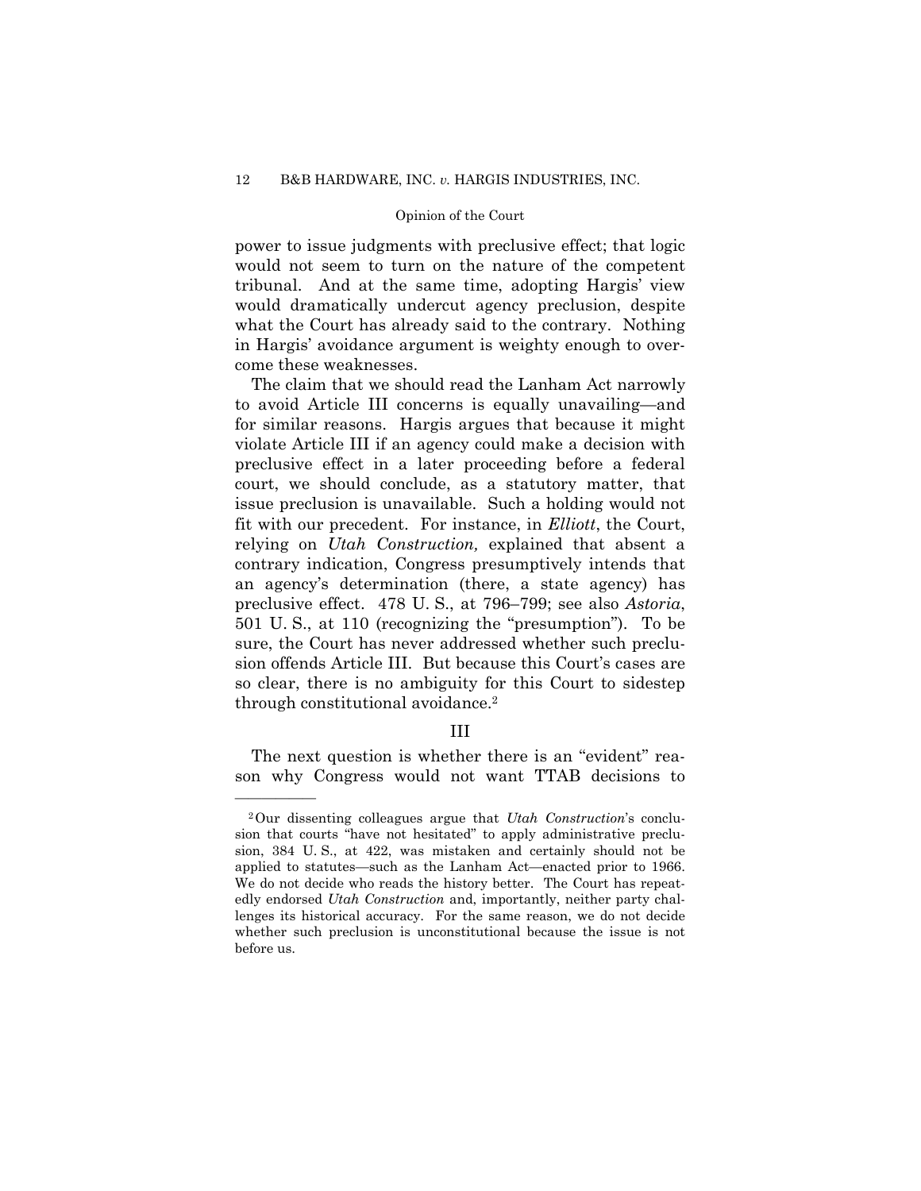power to issue judgments with preclusive effect; that logic would not seem to turn on the nature of the competent tribunal. And at the same time, adopting Hargis' view would dramatically undercut agency preclusion, despite what the Court has already said to the contrary. Nothing in Hargis' avoidance argument is weighty enough to overcome these weaknesses.

The claim that we should read the Lanham Act narrowly to avoid Article III concerns is equally unavailing—and for similar reasons. Hargis argues that because it might violate Article III if an agency could make a decision with preclusive effect in a later proceeding before a federal court, we should conclude, as a statutory matter, that issue preclusion is unavailable. Such a holding would not fit with our precedent. For instance, in *Elliott*, the Court, relying on *Utah Construction,* explained that absent a contrary indication, Congress presumptively intends that an agency's determination (there, a state agency) has preclusive effect. 478 U. S., at 796–799; see also *Astoria*, 501 U. S., at 110 (recognizing the "presumption"). To be sure, the Court has never addressed whether such preclusion offends Article III. But because this Court's cases are so clear, there is no ambiguity for this Court to sidestep through constitutional avoidance.2

# III

The next question is whether there is an "evident" reason why Congress would not want TTAB decisions to

 applied to statutes—such as the Lanham Act—enacted prior to 1966. 2Our dissenting colleagues argue that *Utah Construction*'s conclusion that courts "have not hesitated" to apply administrative preclusion, 384 U. S., at 422, was mistaken and certainly should not be We do not decide who reads the history better. The Court has repeatedly endorsed *Utah Construction* and, importantly, neither party challenges its historical accuracy. For the same reason, we do not decide whether such preclusion is unconstitutional because the issue is not before us.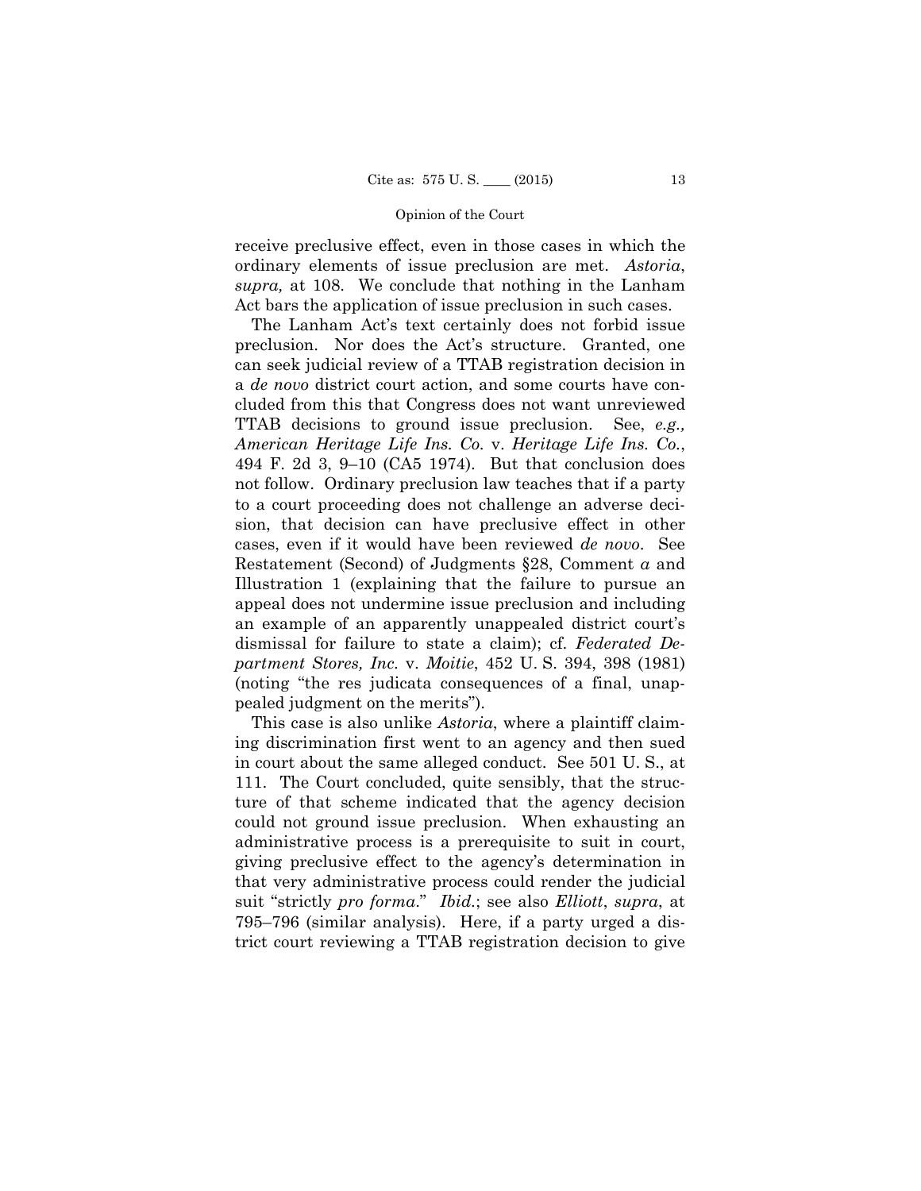receive preclusive effect, even in those cases in which the ordinary elements of issue preclusion are met. *Astoria*, *supra,* at 108. We conclude that nothing in the Lanham Act bars the application of issue preclusion in such cases.

The Lanham Act's text certainly does not forbid issue preclusion. Nor does the Act's structure. Granted, one can seek judicial review of a TTAB registration decision in a *de novo* district court action, and some courts have concluded from this that Congress does not want unreviewed TTAB decisions to ground issue preclusion. See, *e.g., American Heritage Life Ins. Co.* v. *Heritage Life Ins. Co.*, 494 F. 2d 3, 9–10 (CA5 1974). But that conclusion does not follow. Ordinary preclusion law teaches that if a party to a court proceeding does not challenge an adverse decision, that decision can have preclusive effect in other cases, even if it would have been reviewed *de novo*. See Restatement (Second) of Judgments §28, Comment *a* and Illustration 1 (explaining that the failure to pursue an appeal does not undermine issue preclusion and including an example of an apparently unappealed district court's dismissal for failure to state a claim); cf. *Federated Department Stores, Inc.* v. *Moitie*, 452 U. S. 394, 398 (1981) (noting "the res judicata consequences of a final, unappealed judgment on the merits").

This case is also unlike *Astoria*, where a plaintiff claiming discrimination first went to an agency and then sued in court about the same alleged conduct. See 501 U. S., at 111. The Court concluded, quite sensibly, that the structure of that scheme indicated that the agency decision could not ground issue preclusion. When exhausting an administrative process is a prerequisite to suit in court, giving preclusive effect to the agency's determination in that very administrative process could render the judicial suit "strictly *pro forma*." *Ibid.*; see also *Elliott*, *supra*, at 795–796 (similar analysis). Here, if a party urged a district court reviewing a TTAB registration decision to give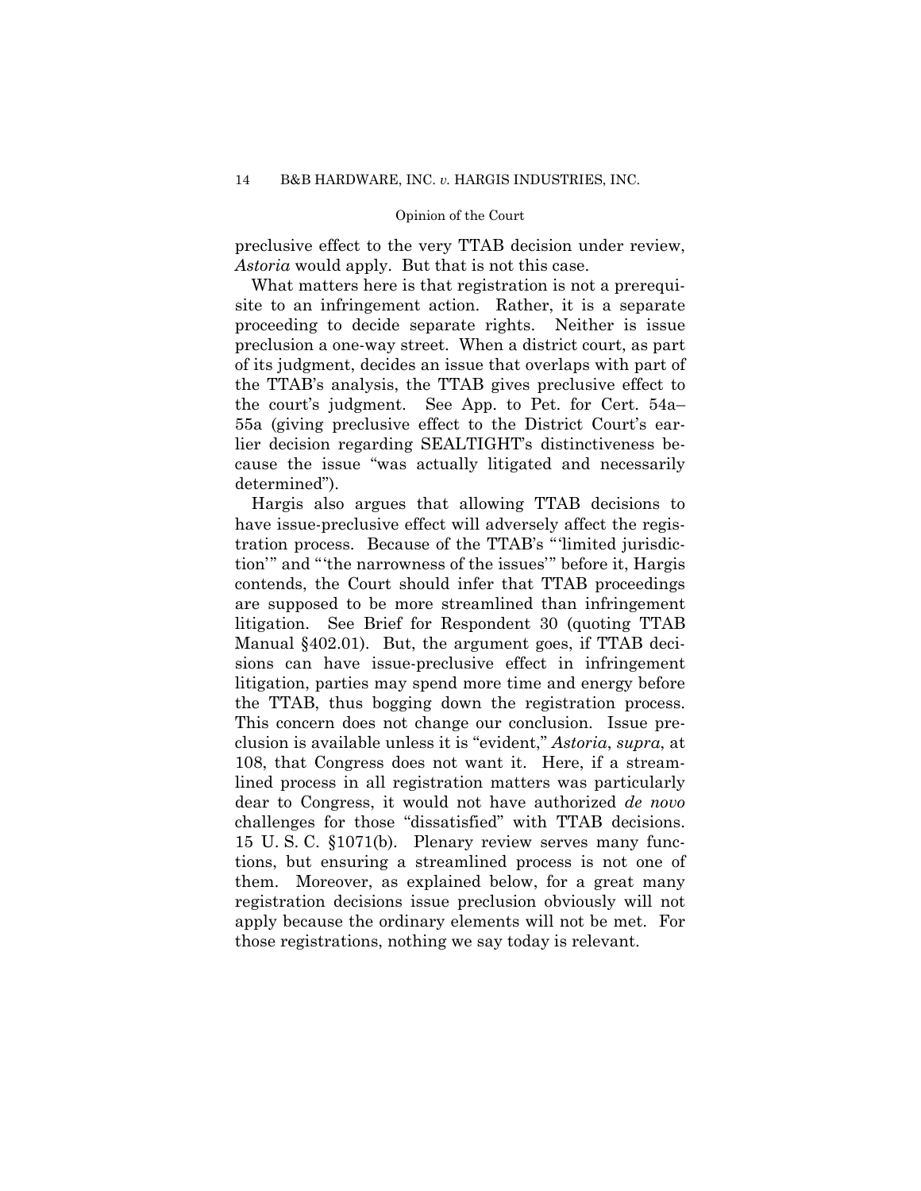preclusive effect to the very TTAB decision under review, *Astoria* would apply. But that is not this case.

What matters here is that registration is not a prerequisite to an infringement action. Rather, it is a separate proceeding to decide separate rights. Neither is issue preclusion a one-way street. When a district court, as part of its judgment, decides an issue that overlaps with part of the TTAB's analysis, the TTAB gives preclusive effect to the court's judgment. See App. to Pet. for Cert. 54a– 55a (giving preclusive effect to the District Court's earlier decision regarding SEALTIGHT's distinctiveness because the issue "was actually litigated and necessarily determined").

Hargis also argues that allowing TTAB decisions to have issue-preclusive effect will adversely affect the registration process. Because of the TTAB's "'limited jurisdiction'" and "'the narrowness of the issues'" before it, Hargis contends, the Court should infer that TTAB proceedings are supposed to be more streamlined than infringement litigation. See Brief for Respondent 30 (quoting TTAB Manual §402.01). But, the argument goes, if TTAB decisions can have issue-preclusive effect in infringement litigation, parties may spend more time and energy before the TTAB, thus bogging down the registration process. This concern does not change our conclusion. Issue preclusion is available unless it is "evident," *Astoria*, *supra*, at 108, that Congress does not want it. Here, if a streamlined process in all registration matters was particularly dear to Congress, it would not have authorized *de novo*  challenges for those "dissatisfied" with TTAB decisions. 15 U. S. C. §1071(b). Plenary review serves many functions, but ensuring a streamlined process is not one of them. Moreover, as explained below, for a great many registration decisions issue preclusion obviously will not apply because the ordinary elements will not be met. For those registrations, nothing we say today is relevant.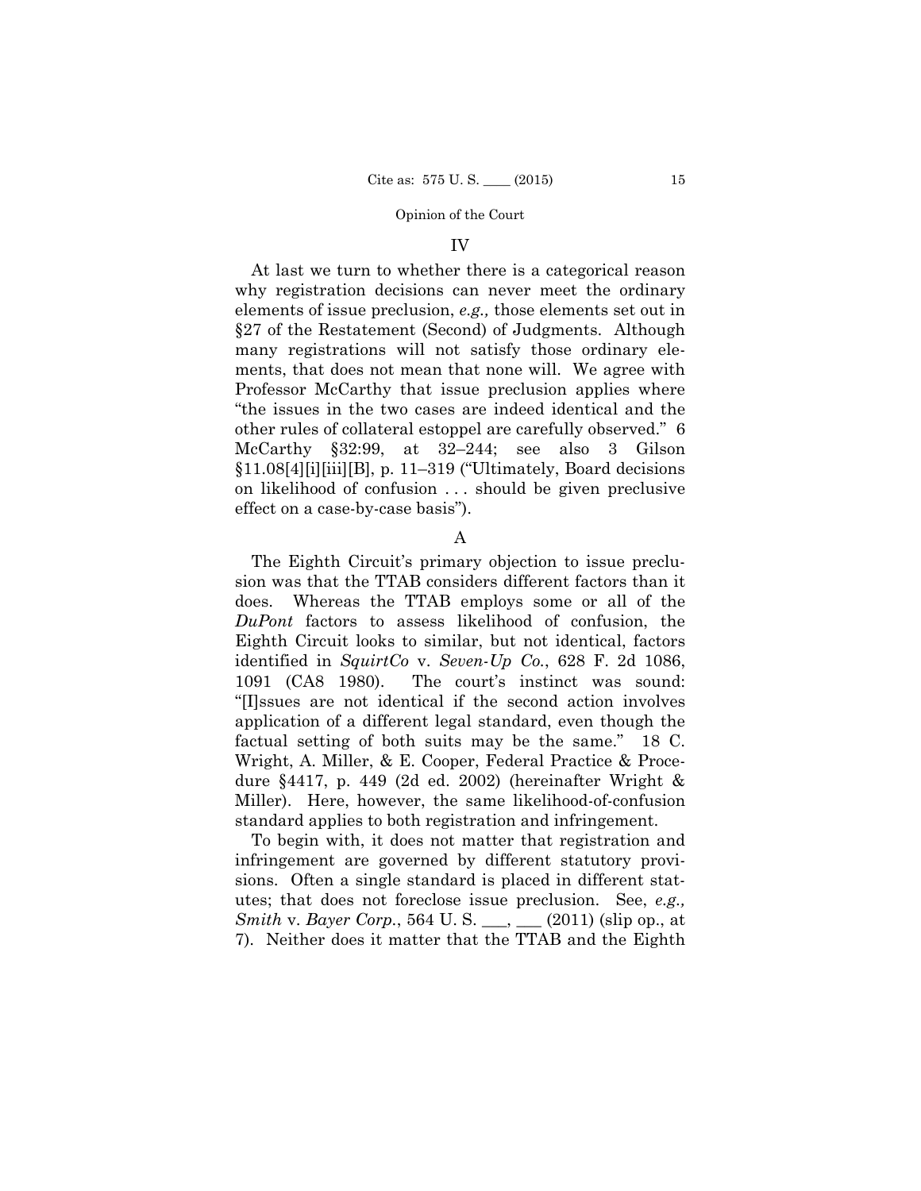## IV

At last we turn to whether there is a categorical reason why registration decisions can never meet the ordinary elements of issue preclusion, *e.g.,* those elements set out in §27 of the Restatement (Second) of Judgments. Although many registrations will not satisfy those ordinary elements, that does not mean that none will. We agree with Professor McCarthy that issue preclusion applies where "the issues in the two cases are indeed identical and the other rules of collateral estoppel are carefully observed." 6 McCarthy §32:99, at 32–244; see also 3 Gilson §11.08[4][i][iii][B], p. 11–319 ("Ultimately, Board decisions on likelihood of confusion . . . should be given preclusive effect on a case-by-case basis").

## A

The Eighth Circuit's primary objection to issue preclusion was that the TTAB considers different factors than it does. Whereas the TTAB employs some or all of the *DuPont* factors to assess likelihood of confusion, the Eighth Circuit looks to similar, but not identical, factors identified in *SquirtCo* v. *Seven-Up Co.*, 628 F. 2d 1086, 1091 (CA8 1980). The court's instinct was sound: "[I]ssues are not identical if the second action involves application of a different legal standard, even though the factual setting of both suits may be the same." 18 C. Wright, A. Miller, & E. Cooper, Federal Practice & Procedure §4417, p. 449 (2d ed. 2002) (hereinafter Wright & Miller). Here, however, the same likelihood-of-confusion standard applies to both registration and infringement.

To begin with, it does not matter that registration and infringement are governed by different statutory provisions. Often a single standard is placed in different statutes; that does not foreclose issue preclusion. See, *e.g., Smith* v. *Bayer Corp.*, 564 U. S. \_\_\_, \_\_\_ (2011) (slip op., at 7). Neither does it matter that the TTAB and the Eighth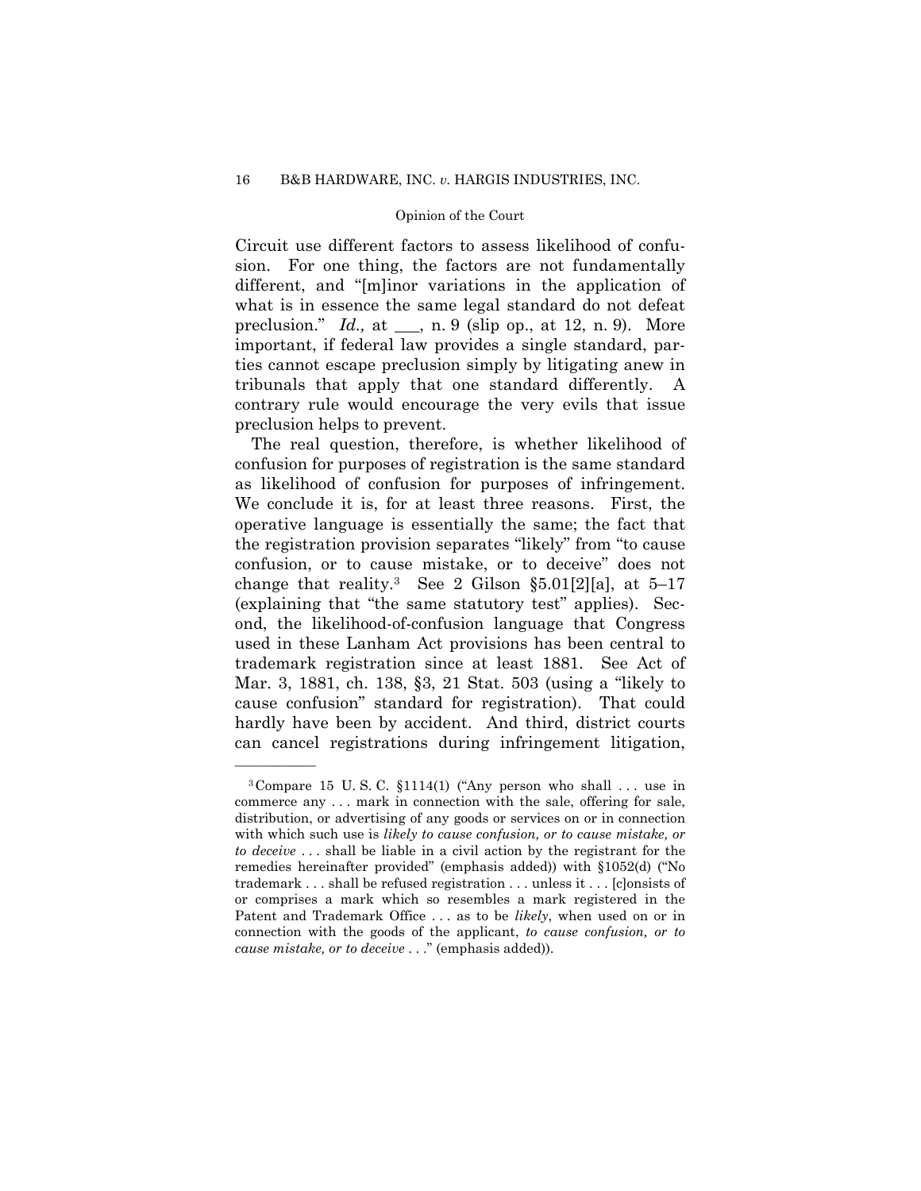Circuit use different factors to assess likelihood of confusion. For one thing, the factors are not fundamentally different, and "[m]inor variations in the application of what is in essence the same legal standard do not defeat preclusion." *Id.,* at \_\_\_, n. 9 (slip op., at 12, n. 9). More important, if federal law provides a single standard, parties cannot escape preclusion simply by litigating anew in tribunals that apply that one standard differently. A contrary rule would encourage the very evils that issue preclusion helps to prevent.

change that reality.<sup>3</sup> See 2 Gilson  $\S 5.01[2][a]$ , at  $5-17$ The real question, therefore, is whether likelihood of confusion for purposes of registration is the same standard as likelihood of confusion for purposes of infringement. We conclude it is, for at least three reasons. First, the operative language is essentially the same; the fact that the registration provision separates "likely" from "to cause confusion, or to cause mistake, or to deceive" does not (explaining that "the same statutory test" applies). Second, the likelihood-of-confusion language that Congress used in these Lanham Act provisions has been central to trademark registration since at least 1881. See Act of Mar. 3, 1881, ch. 138, §3, 21 Stat. 503 (using a "likely to cause confusion" standard for registration). That could hardly have been by accident. And third, district courts can cancel registrations during infringement litigation,

 $3$ Compare 15 U.S.C.  $\{1114(1)$  ("Any person who shall ... use in commerce any . . . mark in connection with the sale, offering for sale, distribution, or advertising of any goods or services on or in connection with which such use is *likely to cause confusion, or to cause mistake, or to deceive* . . . shall be liable in a civil action by the registrant for the remedies hereinafter provided" (emphasis added)) with §1052(d) ("No trademark . . . shall be refused registration . . . unless it . . . [c]onsists of or comprises a mark which so resembles a mark registered in the Patent and Trademark Office . . . as to be *likely*, when used on or in connection with the goods of the applicant, *to cause confusion, or to cause mistake, or to deceive* . . ." (emphasis added)).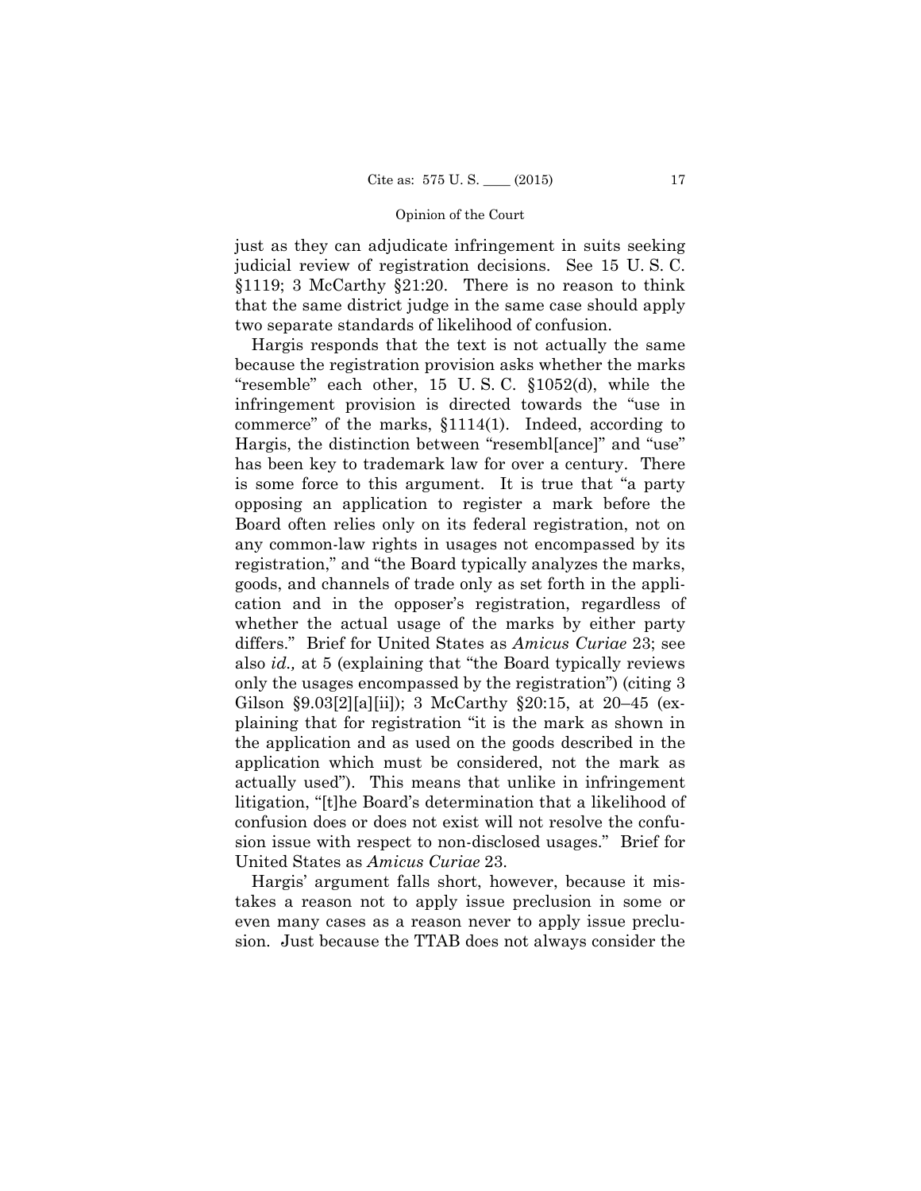just as they can adjudicate infringement in suits seeking judicial review of registration decisions. See 15 U. S. C. §1119; 3 McCarthy §21:20. There is no reason to think that the same district judge in the same case should apply two separate standards of likelihood of confusion.

actually used"). This means that unlike in infringement Hargis responds that the text is not actually the same because the registration provision asks whether the marks "resemble" each other, 15 U. S. C. §1052(d), while the infringement provision is directed towards the "use in commerce" of the marks, §1114(1). Indeed, according to Hargis, the distinction between "resembl[ance]" and "use" has been key to trademark law for over a century. There is some force to this argument. It is true that "a party opposing an application to register a mark before the Board often relies only on its federal registration, not on any common-law rights in usages not encompassed by its registration," and "the Board typically analyzes the marks, goods, and channels of trade only as set forth in the application and in the opposer's registration, regardless of whether the actual usage of the marks by either party differs." Brief for United States as *Amicus Curiae* 23; see also *id.,* at 5 (explaining that "the Board typically reviews only the usages encompassed by the registration") (citing 3 Gilson §9.03[2][a][ii]); 3 McCarthy §20:15, at 20–45 (explaining that for registration "it is the mark as shown in the application and as used on the goods described in the application which must be considered, not the mark as litigation, "[t]he Board's determination that a likelihood of confusion does or does not exist will not resolve the confusion issue with respect to non-disclosed usages." Brief for United States as *Amicus Curiae* 23.

Hargis' argument falls short, however, because it mistakes a reason not to apply issue preclusion in some or even many cases as a reason never to apply issue preclusion. Just because the TTAB does not always consider the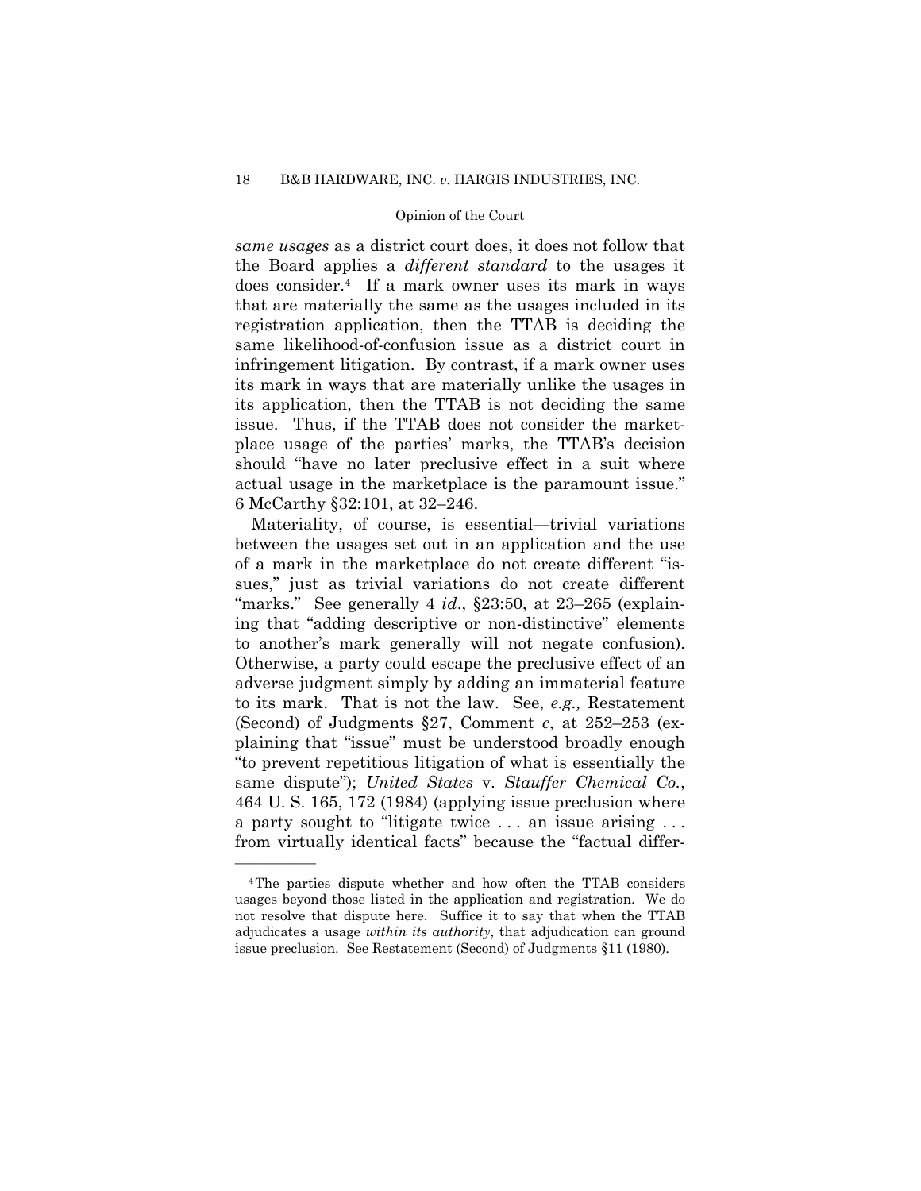*same usages* as a district court does, it does not follow that the Board applies a *different standard* to the usages it does consider.4 If a mark owner uses its mark in ways that are materially the same as the usages included in its registration application, then the TTAB is deciding the same likelihood-of-confusion issue as a district court in infringement litigation. By contrast, if a mark owner uses its mark in ways that are materially unlike the usages in its application, then the TTAB is not deciding the same issue. Thus, if the TTAB does not consider the marketplace usage of the parties' marks, the TTAB's decision should "have no later preclusive effect in a suit where actual usage in the marketplace is the paramount issue." 6 McCarthy §32:101, at 32–246.

Materiality, of course, is essential—trivial variations between the usages set out in an application and the use of a mark in the marketplace do not create different "issues," just as trivial variations do not create different "marks." See generally 4 *id*., §23:50, at 23–265 (explaining that "adding descriptive or non-distinctive" elements to another's mark generally will not negate confusion). Otherwise, a party could escape the preclusive effect of an adverse judgment simply by adding an immaterial feature to its mark. That is not the law. See, *e.g.,* Restatement (Second) of Judgments §27, Comment *c*, at 252–253 (explaining that "issue" must be understood broadly enough "to prevent repetitious litigation of what is essentially the same dispute"); *United States* v. *Stauffer Chemical Co.*, 464 U. S. 165, 172 (1984) (applying issue preclusion where a party sought to "litigate twice . . . an issue arising . . . from virtually identical facts" because the "factual differ-

<sup>4</sup>The parties dispute whether and how often the TTAB considers usages beyond those listed in the application and registration. We do not resolve that dispute here. Suffice it to say that when the TTAB adjudicates a usage *within its authority*, that adjudication can ground issue preclusion. See Restatement (Second) of Judgments §11 (1980).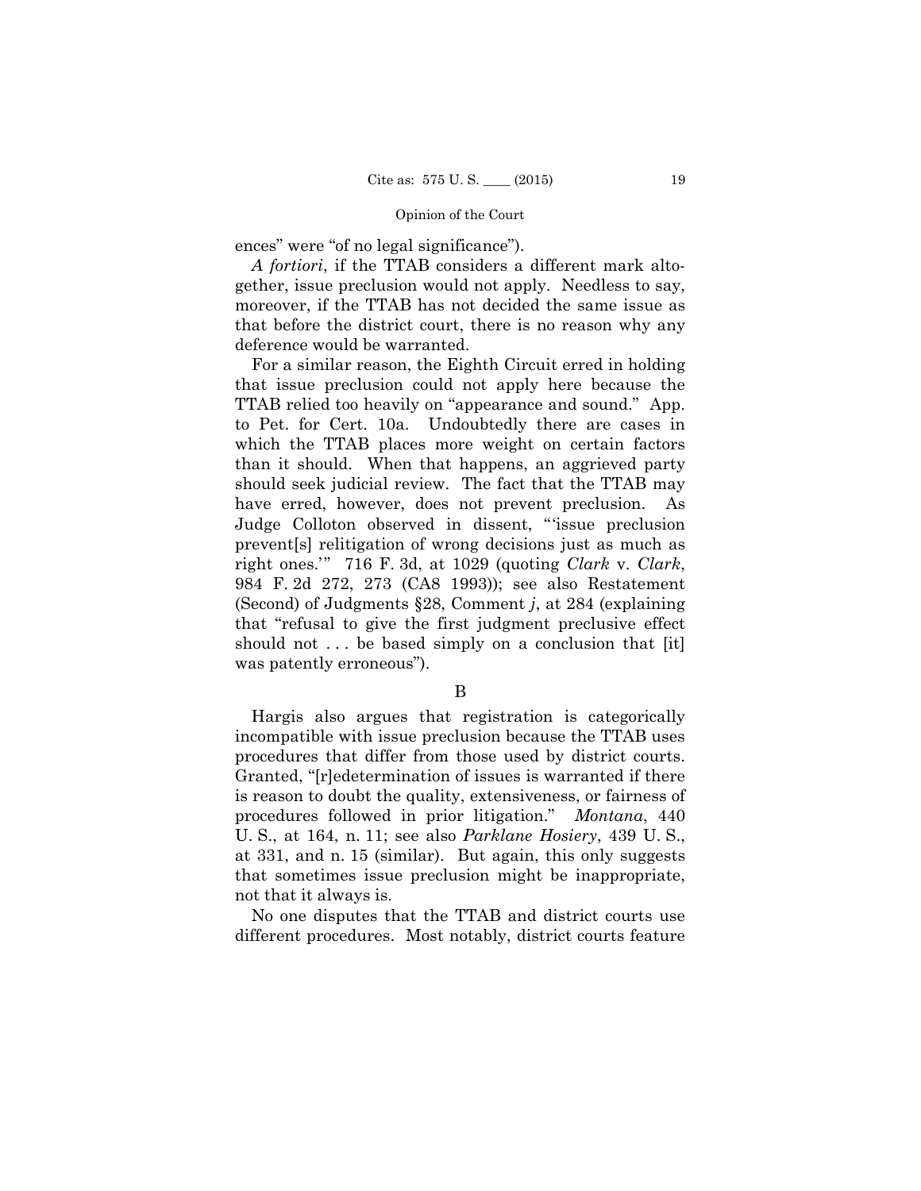ences" were "of no legal significance").

*A fortiori*, if the TTAB considers a different mark altogether, issue preclusion would not apply. Needless to say, moreover, if the TTAB has not decided the same issue as that before the district court, there is no reason why any deference would be warranted.

For a similar reason, the Eighth Circuit erred in holding that issue preclusion could not apply here because the TTAB relied too heavily on "appearance and sound." App. to Pet. for Cert. 10a. Undoubtedly there are cases in which the TTAB places more weight on certain factors than it should. When that happens, an aggrieved party should seek judicial review. The fact that the TTAB may have erred, however, does not prevent preclusion. As Judge Colloton observed in dissent, "'issue preclusion prevent[s] relitigation of wrong decisions just as much as right ones.'" 716 F. 3d, at 1029 (quoting *Clark* v. *Clark*, 984 F. 2d 272, 273 (CA8 1993)); see also Restatement (Second) of Judgments §28, Comment *j*, at 284 (explaining that "refusal to give the first judgment preclusive effect should not ... be based simply on a conclusion that [it] was patently erroneous").

B

Hargis also argues that registration is categorically incompatible with issue preclusion because the TTAB uses procedures that differ from those used by district courts. Granted, "[r]edetermination of issues is warranted if there is reason to doubt the quality, extensiveness, or fairness of procedures followed in prior litigation." *Montana*, 440 U. S., at 164, n. 11; see also *Parklane Hosiery*, 439 U. S., at 331, and n. 15 (similar). But again, this only suggests that sometimes issue preclusion might be inappropriate, not that it always is.

No one disputes that the TTAB and district courts use different procedures. Most notably, district courts feature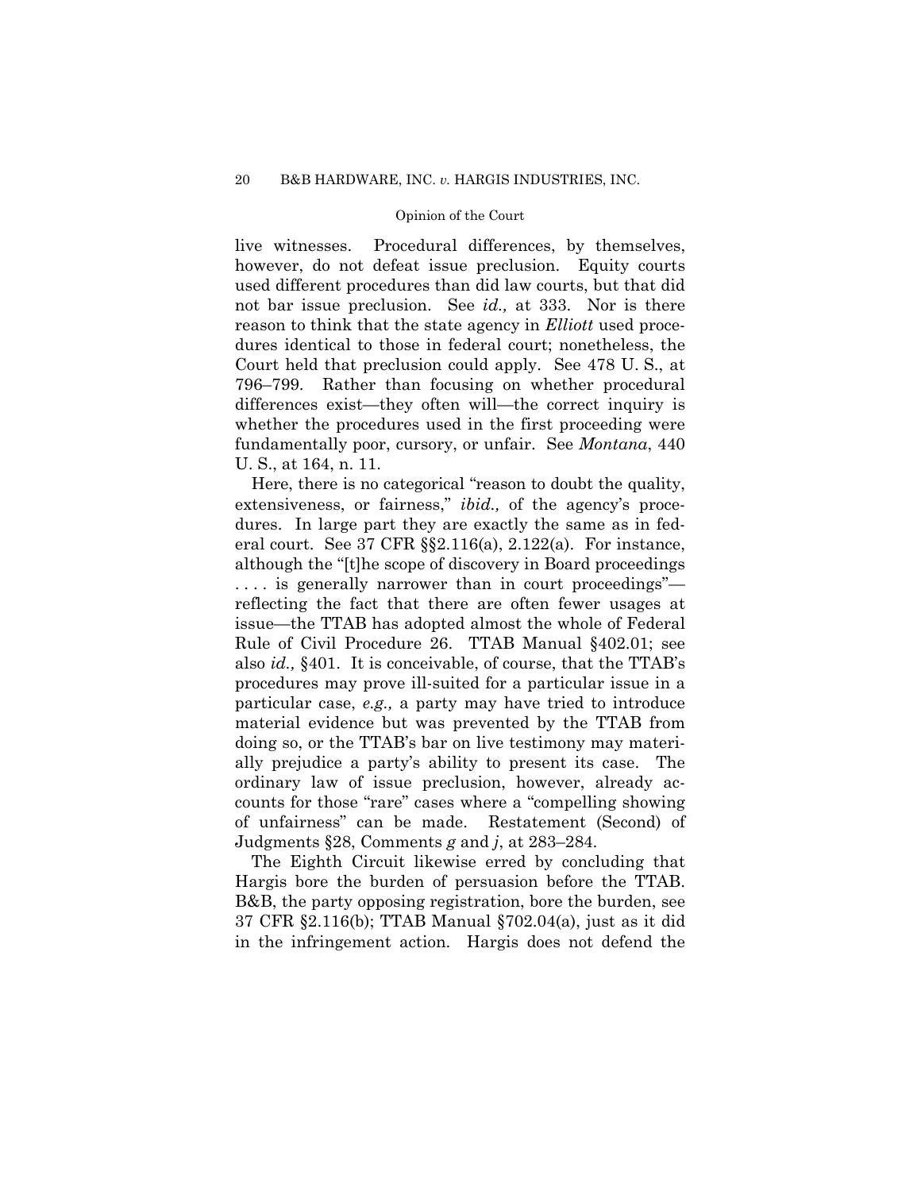live witnesses. Procedural differences, by themselves, however, do not defeat issue preclusion. Equity courts used different procedures than did law courts, but that did not bar issue preclusion. See *id.,* at 333. Nor is there reason to think that the state agency in *Elliott* used procedures identical to those in federal court; nonetheless, the Court held that preclusion could apply. See 478 U. S., at 796–799. Rather than focusing on whether procedural differences exist—they often will—the correct inquiry is whether the procedures used in the first proceeding were fundamentally poor, cursory, or unfair. See *Montana*, 440 U. S., at 164, n. 11.

Here, there is no categorical "reason to doubt the quality, extensiveness, or fairness," *ibid.,* of the agency's procedures. In large part they are exactly the same as in federal court. See 37 CFR §§2.116(a), 2.122(a). For instance, although the "[t]he scope of discovery in Board proceedings . . . . is generally narrower than in court proceedings" reflecting the fact that there are often fewer usages at issue—the TTAB has adopted almost the whole of Federal Rule of Civil Procedure 26. TTAB Manual §402.01; see also *id.,* §401. It is conceivable, of course, that the TTAB's procedures may prove ill-suited for a particular issue in a particular case, *e.g.,* a party may have tried to introduce material evidence but was prevented by the TTAB from doing so, or the TTAB's bar on live testimony may materially prejudice a party's ability to present its case. The ordinary law of issue preclusion, however, already accounts for those "rare" cases where a "compelling showing of unfairness" can be made. Restatement (Second) of Judgments §28, Comments *g* and *j*, at 283–284.

The Eighth Circuit likewise erred by concluding that Hargis bore the burden of persuasion before the TTAB. B&B, the party opposing registration, bore the burden, see 37 CFR §2.116(b); TTAB Manual §702.04(a), just as it did in the infringement action. Hargis does not defend the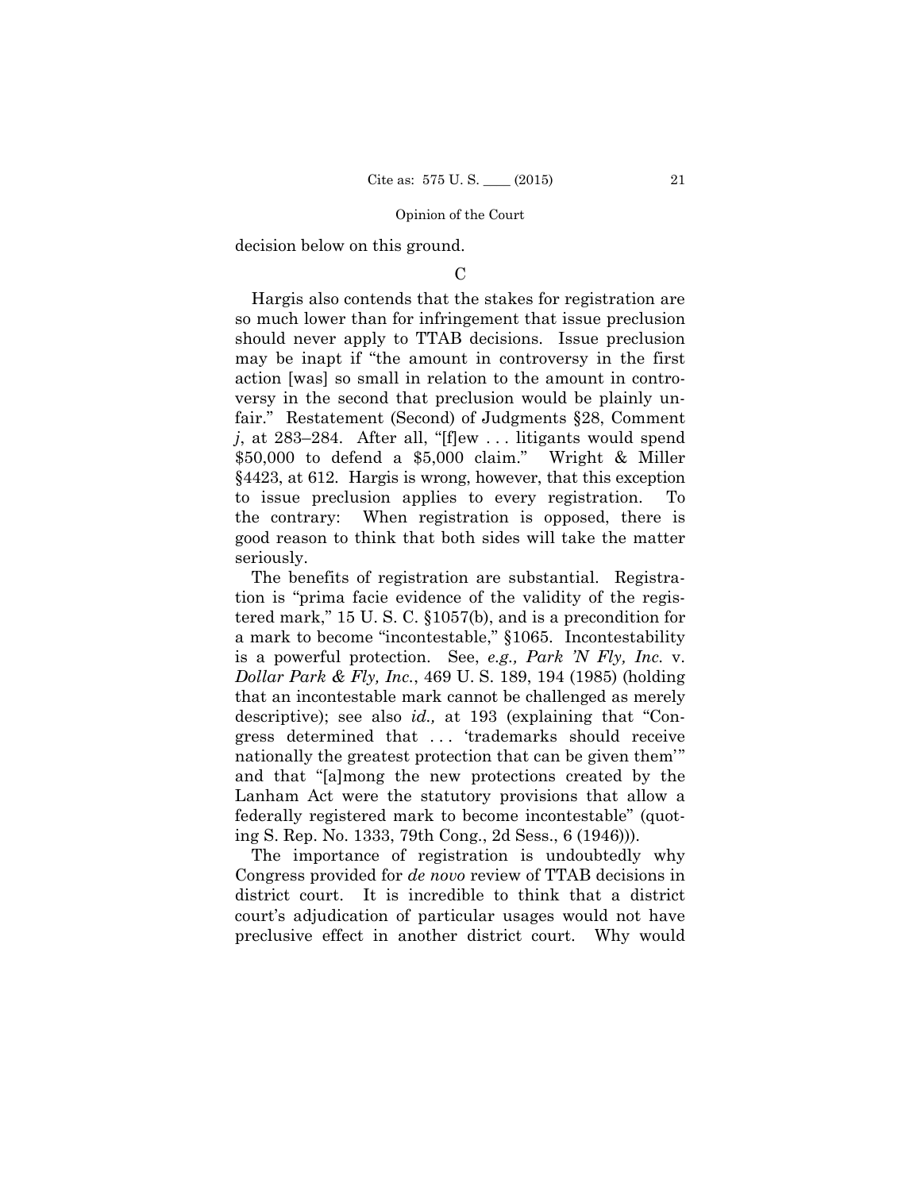decision below on this ground.

#### $\mathcal{C}$

 §4423, at 612. Hargis is wrong, however, that this exception Hargis also contends that the stakes for registration are so much lower than for infringement that issue preclusion should never apply to TTAB decisions. Issue preclusion may be inapt if "the amount in controversy in the first action [was] so small in relation to the amount in controversy in the second that preclusion would be plainly unfair." Restatement (Second) of Judgments §28, Comment *j*, at 283–284. After all, "[f]ew . . . litigants would spend \$50,000 to defend a \$5,000 claim." Wright & Miller to issue preclusion applies to every registration. To the contrary: When registration is opposed, there is good reason to think that both sides will take the matter seriously.

The benefits of registration are substantial. Registration is "prima facie evidence of the validity of the registered mark," 15 U. S. C. §1057(b), and is a precondition for a mark to become "incontestable," §1065. Incontestability is a powerful protection. See, *e.g., Park 'N Fly, Inc.* v. *Dollar Park & Fly, Inc.*, 469 U. S. 189, 194 (1985) (holding that an incontestable mark cannot be challenged as merely descriptive); see also *id.,* at 193 (explaining that "Congress determined that . . . 'trademarks should receive nationally the greatest protection that can be given them'" and that "[a]mong the new protections created by the Lanham Act were the statutory provisions that allow a federally registered mark to become incontestable" (quoting S. Rep. No. 1333, 79th Cong., 2d Sess., 6 (1946))).

The importance of registration is undoubtedly why Congress provided for *de novo* review of TTAB decisions in district court. It is incredible to think that a district court's adjudication of particular usages would not have preclusive effect in another district court. Why would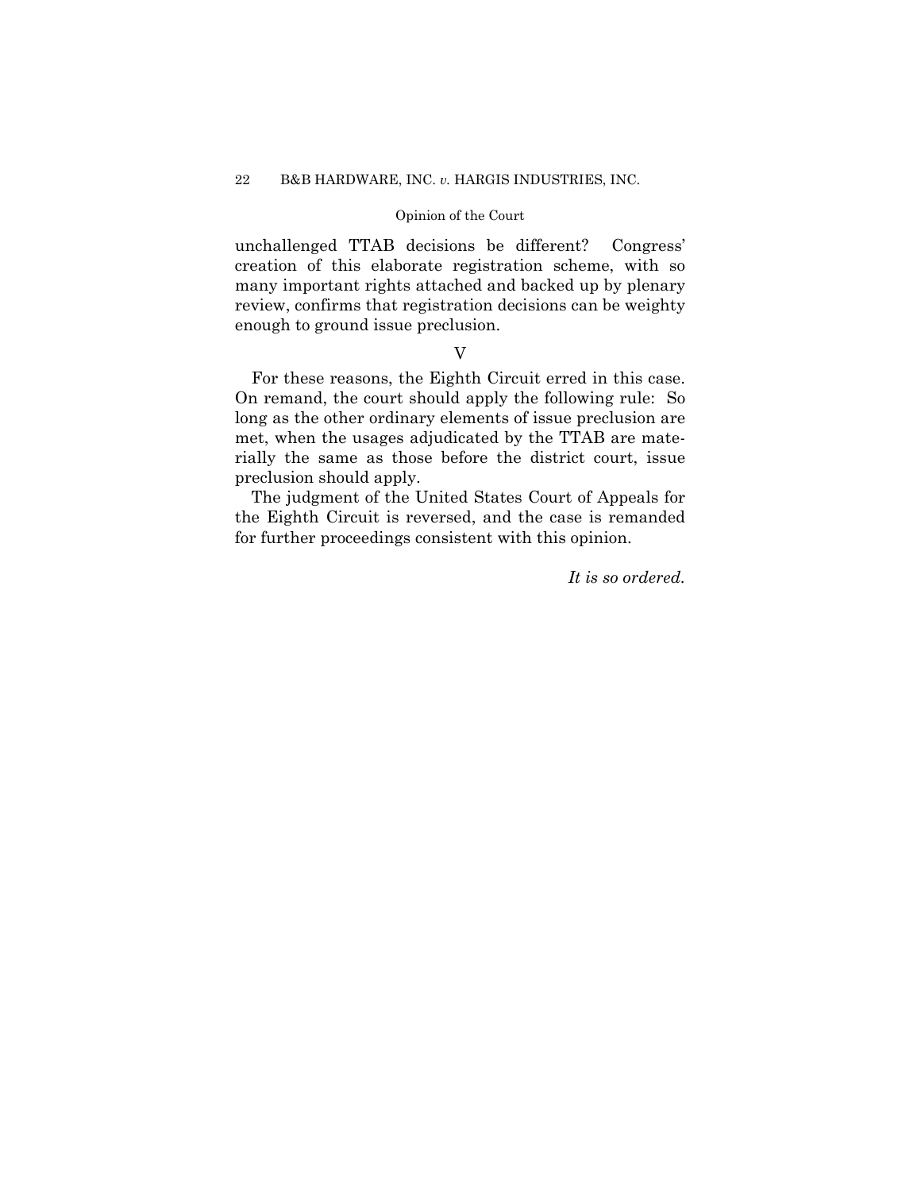unchallenged TTAB decisions be different? Congress' creation of this elaborate registration scheme, with so many important rights attached and backed up by plenary review, confirms that registration decisions can be weighty enough to ground issue preclusion.

# V

 For these reasons, the Eighth Circuit erred in this case. On remand, the court should apply the following rule: So long as the other ordinary elements of issue preclusion are met, when the usages adjudicated by the TTAB are materially the same as those before the district court, issue preclusion should apply.

The judgment of the United States Court of Appeals for the Eighth Circuit is reversed, and the case is remanded for further proceedings consistent with this opinion.

*It is so ordered.*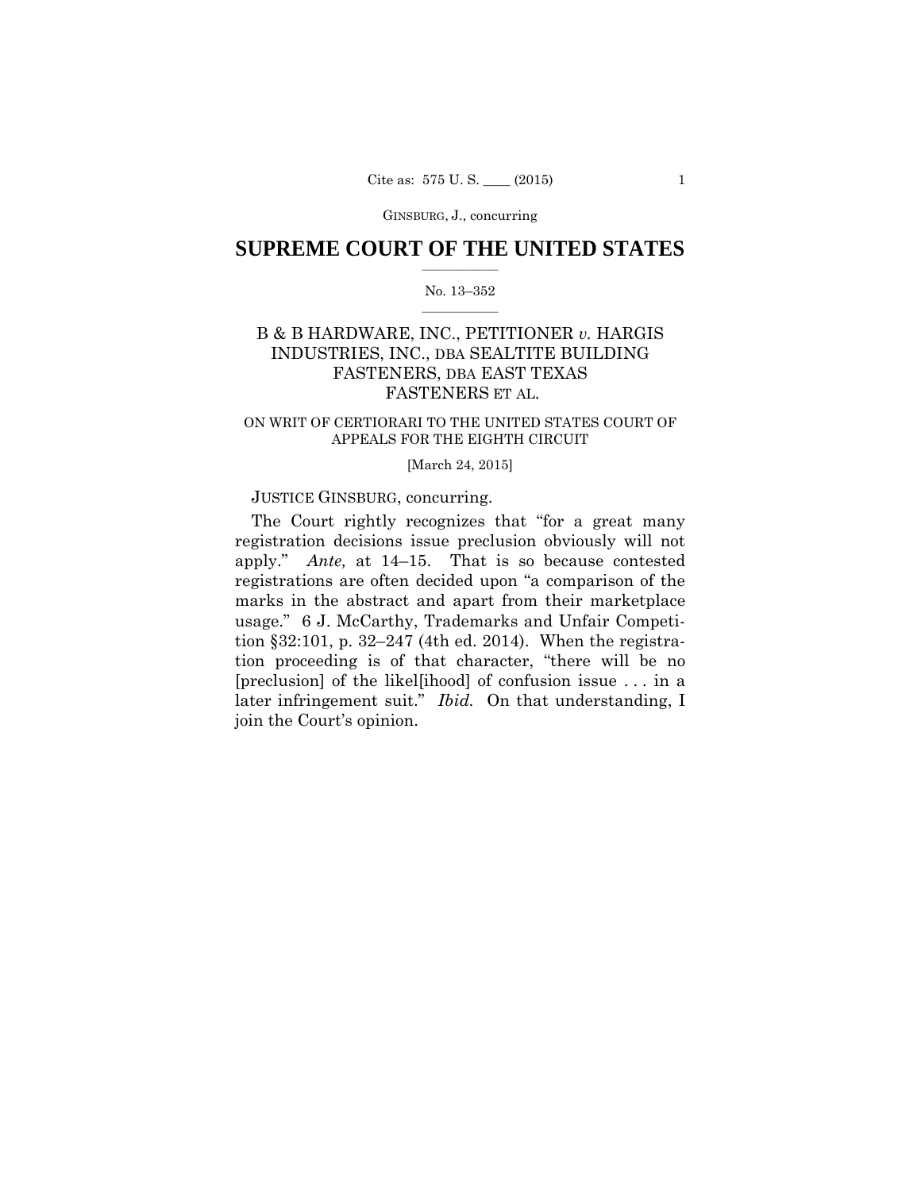GINSBURG, J., concurring

# $\frac{1}{2}$  , where  $\frac{1}{2}$ **SUPREME COURT OF THE UNITED STATES**

## $\frac{1}{2}$  ,  $\frac{1}{2}$  ,  $\frac{1}{2}$  ,  $\frac{1}{2}$  ,  $\frac{1}{2}$  ,  $\frac{1}{2}$ No. 13–352

# B & B HARDWARE, INC., PETITIONER *v.* HARGIS INDUSTRIES, INC., DBA SEALTITE BUILDING FASTENERS, DBA EAST TEXAS FASTENERS ET AL.

# ON WRIT OF CERTIORARI TO THE UNITED STATES COURT OF APPEALS FOR THE EIGHTH CIRCUIT

## [March 24, 2015]

# JUSTICE GINSBURG, concurring.

 later infringement suit." *Ibid.* On that understanding, I The Court rightly recognizes that "for a great many registration decisions issue preclusion obviously will not apply." *Ante,* at 14–15. That is so because contested registrations are often decided upon "a comparison of the marks in the abstract and apart from their marketplace usage." 6 J. McCarthy, Trademarks and Unfair Competition §32:101, p. 32–247 (4th ed. 2014). When the registration proceeding is of that character, "there will be no [preclusion] of the likel[ihood] of confusion issue . . . in a join the Court's opinion.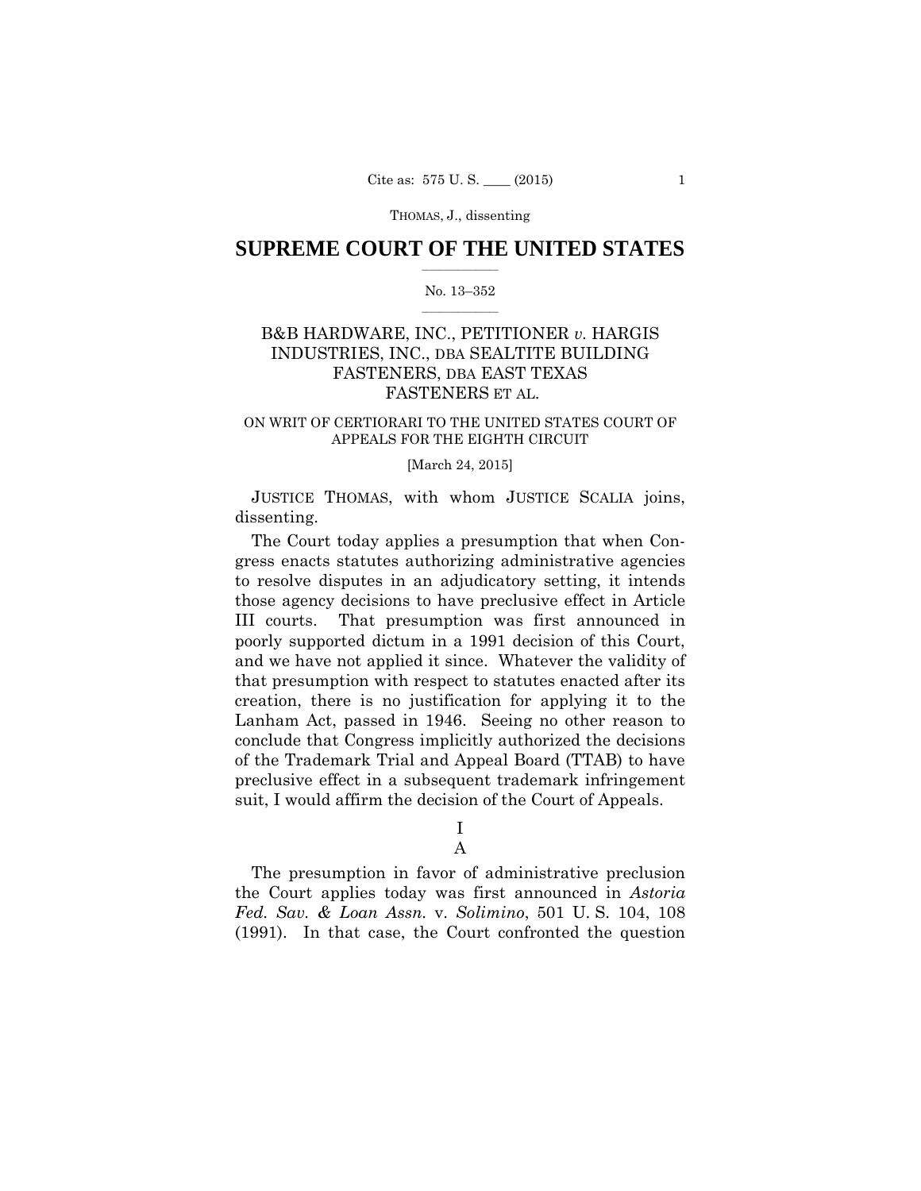## $\frac{1}{2}$  , where  $\frac{1}{2}$ **SUPREME COURT OF THE UNITED STATES**

#### $\frac{1}{2}$  ,  $\frac{1}{2}$  ,  $\frac{1}{2}$  ,  $\frac{1}{2}$  ,  $\frac{1}{2}$  ,  $\frac{1}{2}$ No. 13–352

# B&B HARDWARE, INC., PETITIONER *v.* HARGIS INDUSTRIES, INC., DBA SEALTITE BUILDING FASTENERS, DBA EAST TEXAS FASTENERS ET AL.

# ON WRIT OF CERTIORARI TO THE UNITED STATES COURT OF APPEALS FOR THE EIGHTH CIRCUIT

### [March 24, 2015]

 JUSTICE THOMAS, with whom JUSTICE SCALIA joins, dissenting.

 and we have not applied it since. Whatever the validity of The Court today applies a presumption that when Congress enacts statutes authorizing administrative agencies to resolve disputes in an adjudicatory setting, it intends those agency decisions to have preclusive effect in Article III courts. That presumption was first announced in poorly supported dictum in a 1991 decision of this Court, that presumption with respect to statutes enacted after its creation, there is no justification for applying it to the Lanham Act, passed in 1946. Seeing no other reason to conclude that Congress implicitly authorized the decisions of the Trademark Trial and Appeal Board (TTAB) to have preclusive effect in a subsequent trademark infringement suit, I would affirm the decision of the Court of Appeals.

I

A

The presumption in favor of administrative preclusion the Court applies today was first announced in *Astoria Fed. Sav. & Loan Assn.* v. *Solimino*, 501 U. S. 104, 108 (1991). In that case, the Court confronted the question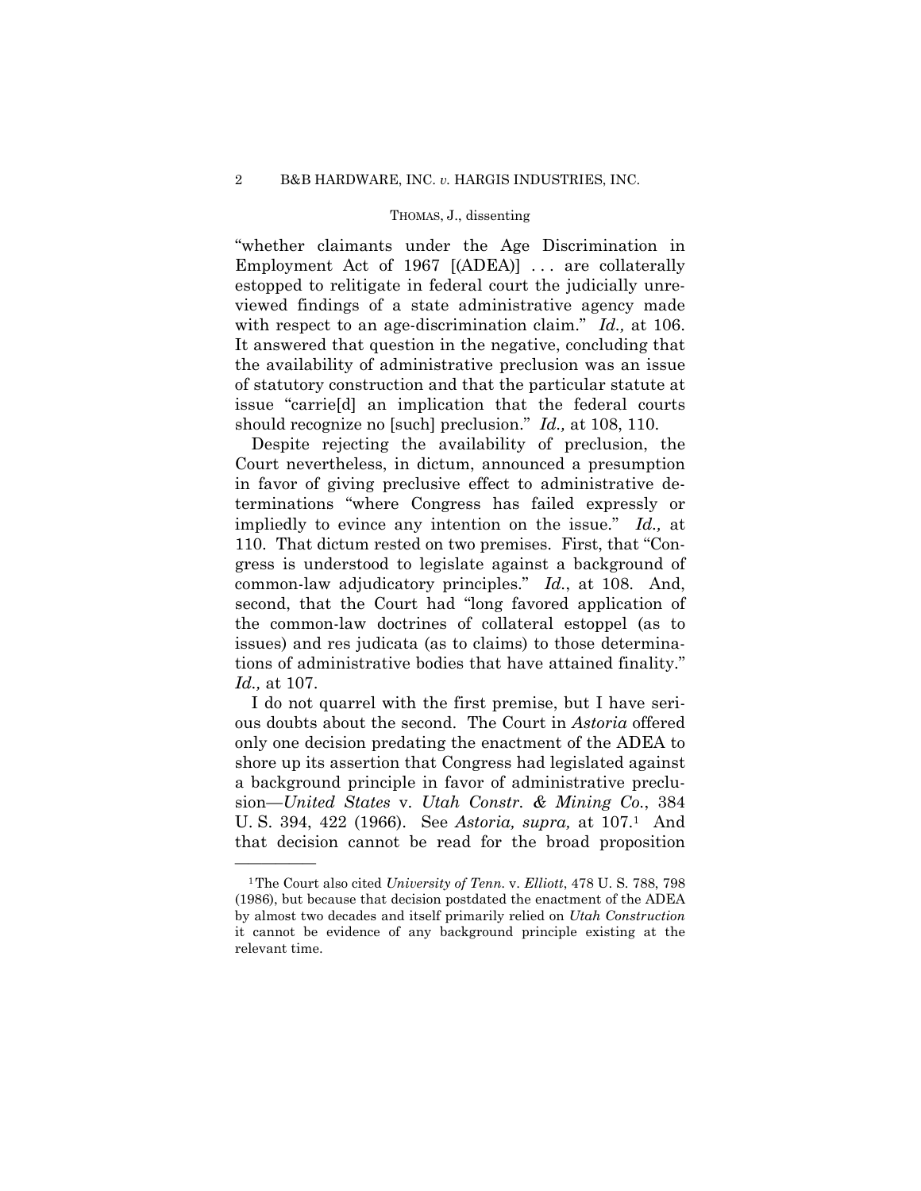"whether claimants under the Age Discrimination in Employment Act of 1967 [(ADEA)] ... are collaterally estopped to relitigate in federal court the judicially unreviewed findings of a state administrative agency made with respect to an age-discrimination claim." *Id.*, at 106. It answered that question in the negative, concluding that the availability of administrative preclusion was an issue of statutory construction and that the particular statute at issue "carrie[d] an implication that the federal courts should recognize no [such] preclusion." *Id.,* at 108, 110.

Despite rejecting the availability of preclusion, the Court nevertheless, in dictum, announced a presumption in favor of giving preclusive effect to administrative determinations "where Congress has failed expressly or impliedly to evince any intention on the issue." *Id.,* at 110. That dictum rested on two premises. First, that "Congress is understood to legislate against a background of common-law adjudicatory principles." *Id.*, at 108. And, second, that the Court had "long favored application of the common-law doctrines of collateral estoppel (as to issues) and res judicata (as to claims) to those determinations of administrative bodies that have attained finality." *Id.,* at 107.

I do not quarrel with the first premise, but I have serious doubts about the second. The Court in *Astoria* offered only one decision predating the enactment of the ADEA to shore up its assertion that Congress had legislated against a background principle in favor of administrative preclusion—*United States* v. *Utah Constr. & Mining Co.*, 384 U. S. 394, 422 (1966). See *Astoria, supra,* at 107.1 And that decision cannot be read for the broad proposition

<sup>1</sup>The Court also cited *University of Tenn.* v. *Elliott*, 478 U. S. 788, 798 (1986), but because that decision postdated the enactment of the ADEA by almost two decades and itself primarily relied on *Utah Construction*  it cannot be evidence of any background principle existing at the relevant time.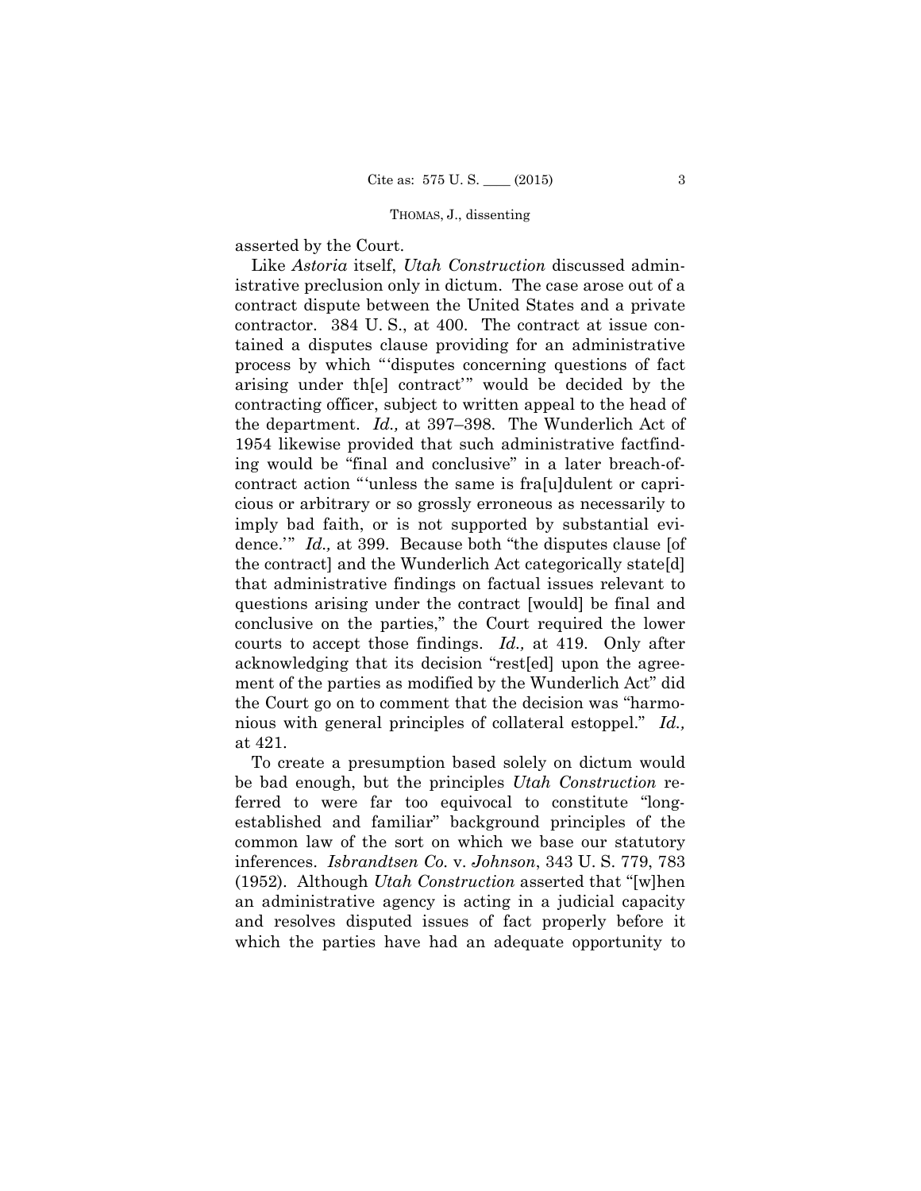asserted by the Court.

Like *Astoria* itself, *Utah Construction* discussed administrative preclusion only in dictum. The case arose out of a contract dispute between the United States and a private contractor. 384 U. S., at 400. The contract at issue contained a disputes clause providing for an administrative process by which "'disputes concerning questions of fact arising under th[e] contract'" would be decided by the contracting officer, subject to written appeal to the head of the department. *Id.,* at 397–398. The Wunderlich Act of 1954 likewise provided that such administrative factfinding would be "final and conclusive" in a later breach-ofcontract action "'unless the same is fra[u]dulent or capricious or arbitrary or so grossly erroneous as necessarily to imply bad faith, or is not supported by substantial evidence.'" *Id.,* at 399. Because both "the disputes clause [of the contract] and the Wunderlich Act categorically state[d] that administrative findings on factual issues relevant to questions arising under the contract [would] be final and conclusive on the parties," the Court required the lower courts to accept those findings. *Id.,* at 419. Only after acknowledging that its decision "rest[ed] upon the agreement of the parties as modified by the Wunderlich Act" did the Court go on to comment that the decision was "harmonious with general principles of collateral estoppel." *Id.,*  at 421.

To create a presumption based solely on dictum would be bad enough, but the principles *Utah Construction* referred to were far too equivocal to constitute "longestablished and familiar" background principles of the common law of the sort on which we base our statutory inferences. *Isbrandtsen Co.* v. *Johnson*, 343 U. S. 779, 783 (1952). Although *Utah Construction* asserted that "[w]hen an administrative agency is acting in a judicial capacity and resolves disputed issues of fact properly before it which the parties have had an adequate opportunity to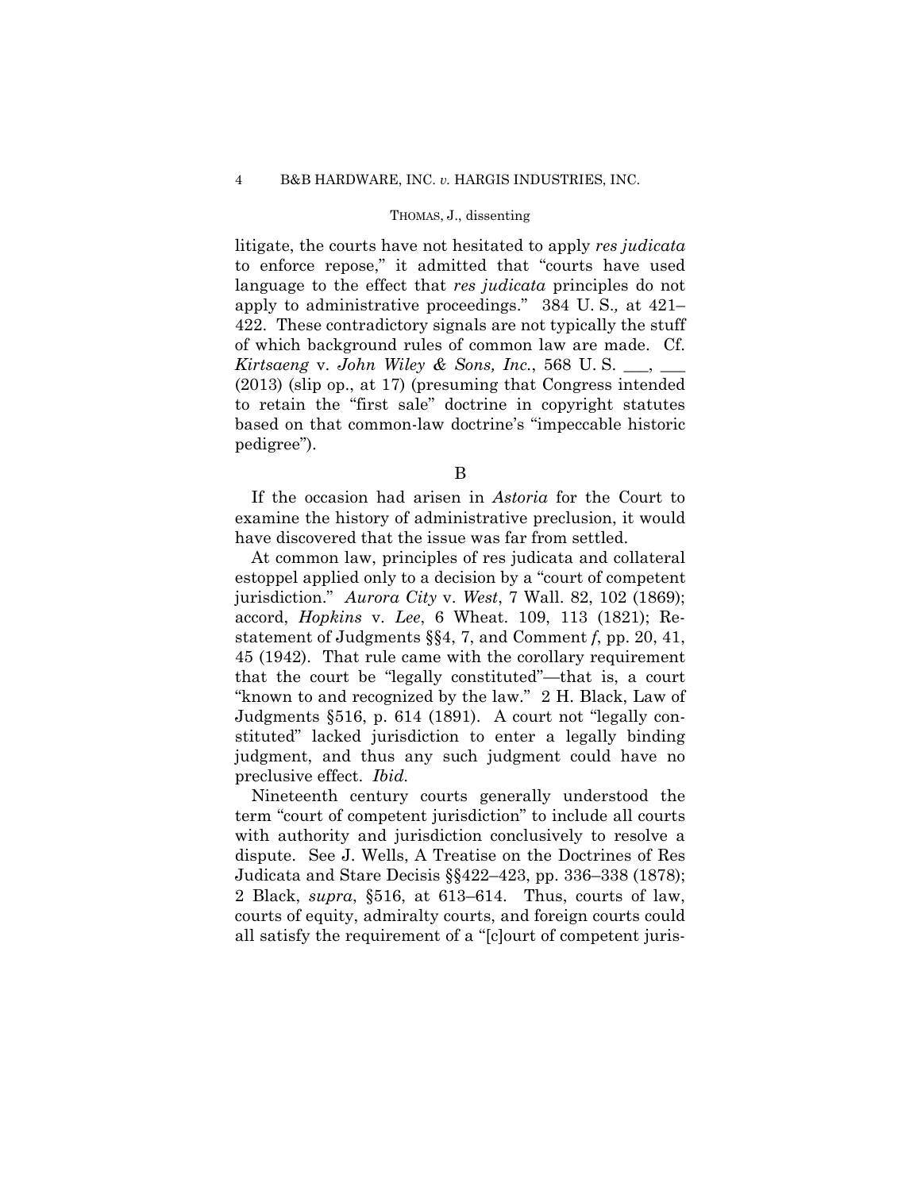litigate, the courts have not hesitated to apply *res judicata*  to enforce repose," it admitted that "courts have used language to the effect that *res judicata* principles do not apply to administrative proceedings." 384 U. S.*,* at 421– 422. These contradictory signals are not typically the stuff of which background rules of common law are made. Cf. *Kirtsaeng* v. *John Wiley & Sons, Inc.*, 568 U. S. \_\_\_, \_\_\_ (2013) (slip op., at 17) (presuming that Congress intended to retain the "first sale" doctrine in copyright statutes based on that common-law doctrine's "impeccable historic pedigree").

B

If the occasion had arisen in *Astoria* for the Court to examine the history of administrative preclusion, it would have discovered that the issue was far from settled.

At common law, principles of res judicata and collateral estoppel applied only to a decision by a "court of competent jurisdiction." *Aurora City* v. *West*, 7 Wall. 82, 102 (1869); accord, *Hopkins* v. *Lee*, 6 Wheat. 109, 113 (1821); Restatement of Judgments §§4, 7, and Comment *f*, pp. 20, 41, 45 (1942). That rule came with the corollary requirement that the court be "legally constituted"—that is, a court "known to and recognized by the law." 2 H. Black, Law of Judgments §516, p. 614 (1891). A court not "legally constituted" lacked jurisdiction to enter a legally binding judgment, and thus any such judgment could have no preclusive effect. *Ibid.* 

Nineteenth century courts generally understood the term "court of competent jurisdiction" to include all courts with authority and jurisdiction conclusively to resolve a dispute. See J. Wells, A Treatise on the Doctrines of Res Judicata and Stare Decisis §§422–423, pp. 336–338 (1878); 2 Black, *supra*, §516, at 613–614. Thus, courts of law, courts of equity, admiralty courts, and foreign courts could all satisfy the requirement of a "[c]ourt of competent juris-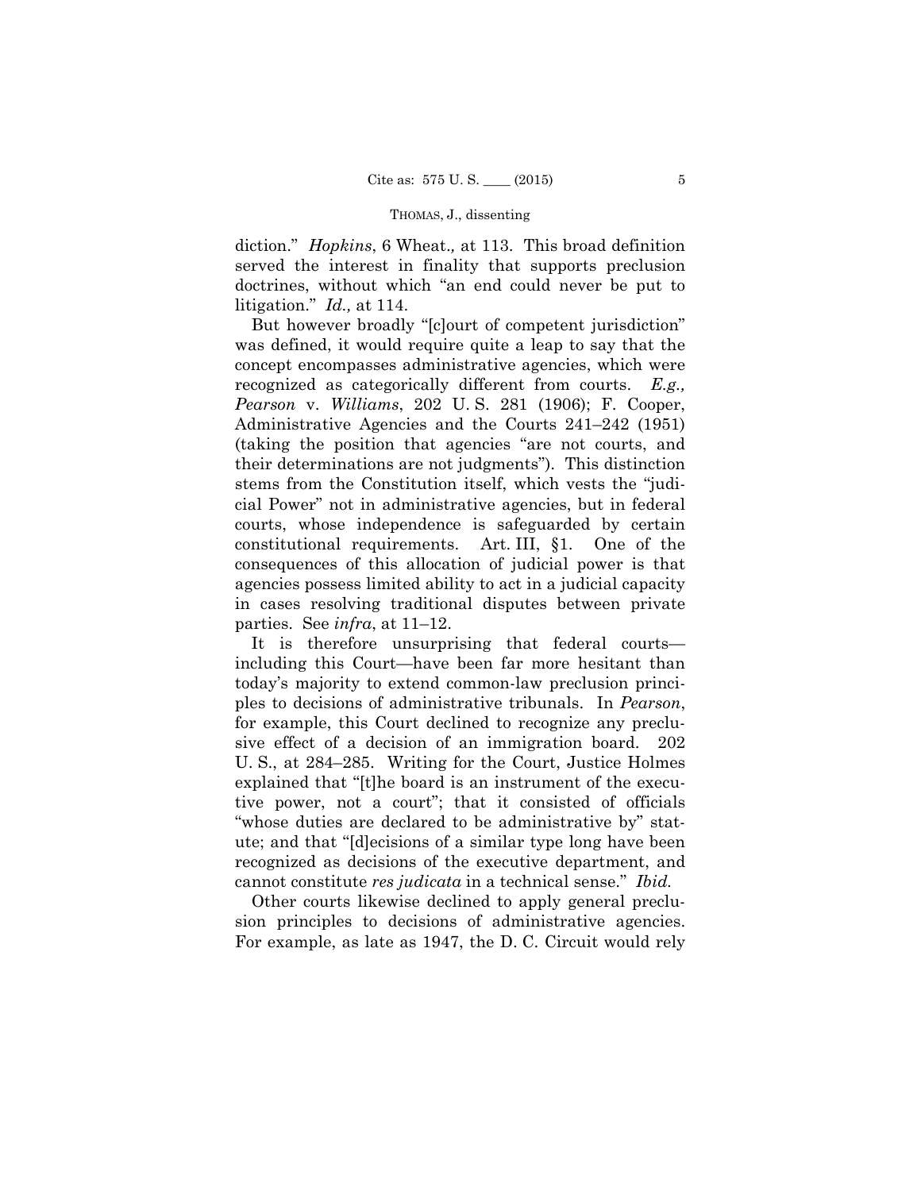diction." *Hopkins*, 6 Wheat.*,* at 113. This broad definition served the interest in finality that supports preclusion doctrines, without which "an end could never be put to litigation." *Id.,* at 114.

But however broadly "[c]ourt of competent jurisdiction" was defined, it would require quite a leap to say that the concept encompasses administrative agencies, which were recognized as categorically different from courts. *E.g., Pearson* v. *Williams*, 202 U. S. 281 (1906); F. Cooper, Administrative Agencies and the Courts 241–242 (1951) (taking the position that agencies "are not courts, and their determinations are not judgments"). This distinction stems from the Constitution itself, which vests the "judicial Power" not in administrative agencies, but in federal courts, whose independence is safeguarded by certain constitutional requirements. Art. III, §1. One of the consequences of this allocation of judicial power is that agencies possess limited ability to act in a judicial capacity in cases resolving traditional disputes between private parties. See *infra*, at 11–12.

It is therefore unsurprising that federal courts including this Court—have been far more hesitant than today's majority to extend common-law preclusion principles to decisions of administrative tribunals. In *Pearson*, for example, this Court declined to recognize any preclusive effect of a decision of an immigration board. 202 U. S., at 284–285. Writing for the Court, Justice Holmes explained that "[t]he board is an instrument of the executive power, not a court"; that it consisted of officials "whose duties are declared to be administrative by" statute; and that "[d]ecisions of a similar type long have been recognized as decisions of the executive department, and cannot constitute *res judicata* in a technical sense." *Ibid.* 

Other courts likewise declined to apply general preclusion principles to decisions of administrative agencies. For example, as late as 1947, the D. C. Circuit would rely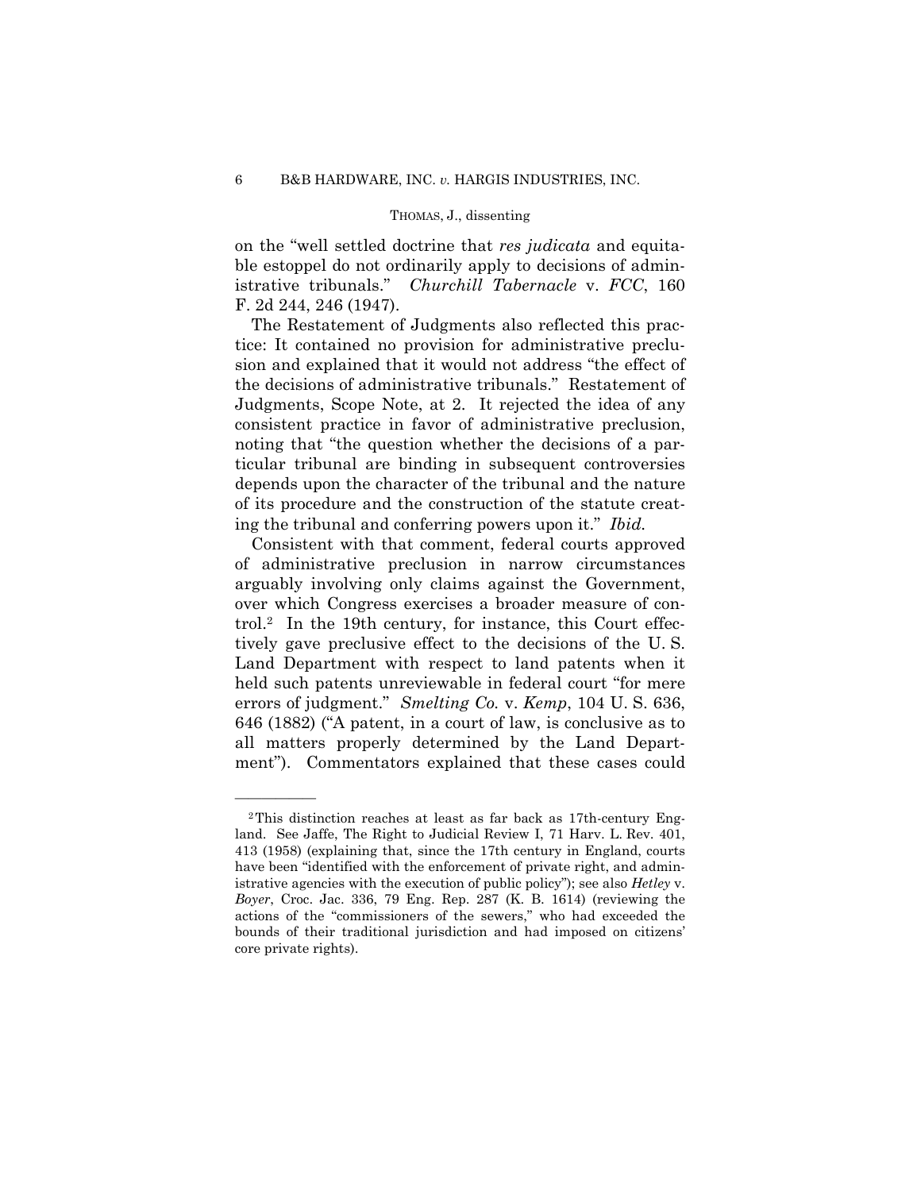on the "well settled doctrine that *res judicata* and equitable estoppel do not ordinarily apply to decisions of administrative tribunals." *Churchill Tabernacle* v. *FCC*, 160 F. 2d 244, 246 (1947).

The Restatement of Judgments also reflected this practice: It contained no provision for administrative preclusion and explained that it would not address "the effect of the decisions of administrative tribunals." Restatement of Judgments, Scope Note, at 2. It rejected the idea of any consistent practice in favor of administrative preclusion, noting that "the question whether the decisions of a particular tribunal are binding in subsequent controversies depends upon the character of the tribunal and the nature of its procedure and the construction of the statute creating the tribunal and conferring powers upon it." *Ibid.* 

Consistent with that comment, federal courts approved of administrative preclusion in narrow circumstances arguably involving only claims against the Government, over which Congress exercises a broader measure of control.2 In the 19th century, for instance, this Court effectively gave preclusive effect to the decisions of the U. S. Land Department with respect to land patents when it held such patents unreviewable in federal court "for mere errors of judgment." *Smelting Co.* v. *Kemp*, 104 U. S. 636, 646 (1882) ("A patent, in a court of law, is conclusive as to all matters properly determined by the Land Department"). Commentators explained that these cases could

<sup>2</sup>This distinction reaches at least as far back as 17th-century England. See Jaffe, The Right to Judicial Review I, 71 Harv. L. Rev. 401, 413 (1958) (explaining that, since the 17th century in England, courts have been "identified with the enforcement of private right, and administrative agencies with the execution of public policy"); see also *Hetley* v. *Boyer*, Croc. Jac. 336, 79 Eng. Rep. 287 (K. B. 1614) (reviewing the actions of the "commissioners of the sewers," who had exceeded the bounds of their traditional jurisdiction and had imposed on citizens' core private rights).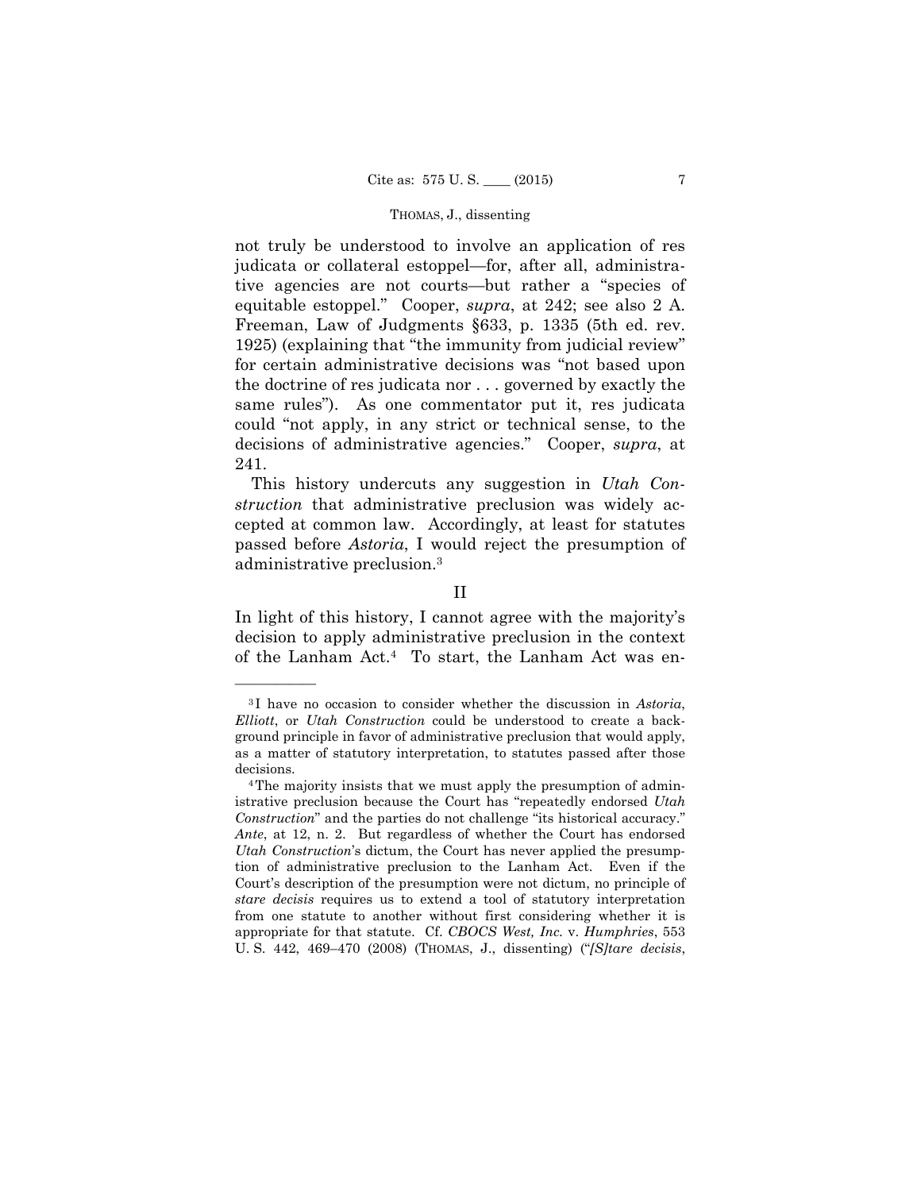not truly be understood to involve an application of res judicata or collateral estoppel—for, after all, administrative agencies are not courts—but rather a "species of equitable estoppel." Cooper, *supra*, at 242; see also 2 A. Freeman, Law of Judgments §633, p. 1335 (5th ed. rev. 1925) (explaining that "the immunity from judicial review" for certain administrative decisions was "not based upon the doctrine of res judicata nor . . . governed by exactly the same rules"). As one commentator put it, res judicata could "not apply, in any strict or technical sense, to the decisions of administrative agencies." Cooper, *supra*, at 241.

This history undercuts any suggestion in *Utah Construction* that administrative preclusion was widely accepted at common law. Accordingly, at least for statutes passed before *Astoria*, I would reject the presumption of administrative preclusion.3

# II

 of the Lanham Act.4 To start, the Lanham Act was en- In light of this history, I cannot agree with the majority's decision to apply administrative preclusion in the context

<sup>3</sup> I have no occasion to consider whether the discussion in *Astoria*, *Elliott*, or *Utah Construction* could be understood to create a background principle in favor of administrative preclusion that would apply, as a matter of statutory interpretation, to statutes passed after those decisions.<br><sup>4</sup>The majority insists that we must apply the presumption of admin-

istrative preclusion because the Court has "repeatedly endorsed *Utah Construction*" and the parties do not challenge "its historical accuracy." *Ante*, at 12, n. 2. But regardless of whether the Court has endorsed *Utah Construction*'s dictum, the Court has never applied the presumption of administrative preclusion to the Lanham Act. Even if the Court's description of the presumption were not dictum, no principle of *stare decisis* requires us to extend a tool of statutory interpretation from one statute to another without first considering whether it is appropriate for that statute. Cf. *CBOCS West, Inc.* v. *Humphries*, 553 U. S. 442, 469–470 (2008) (THOMAS, J., dissenting) ("*[S]tare decisis*,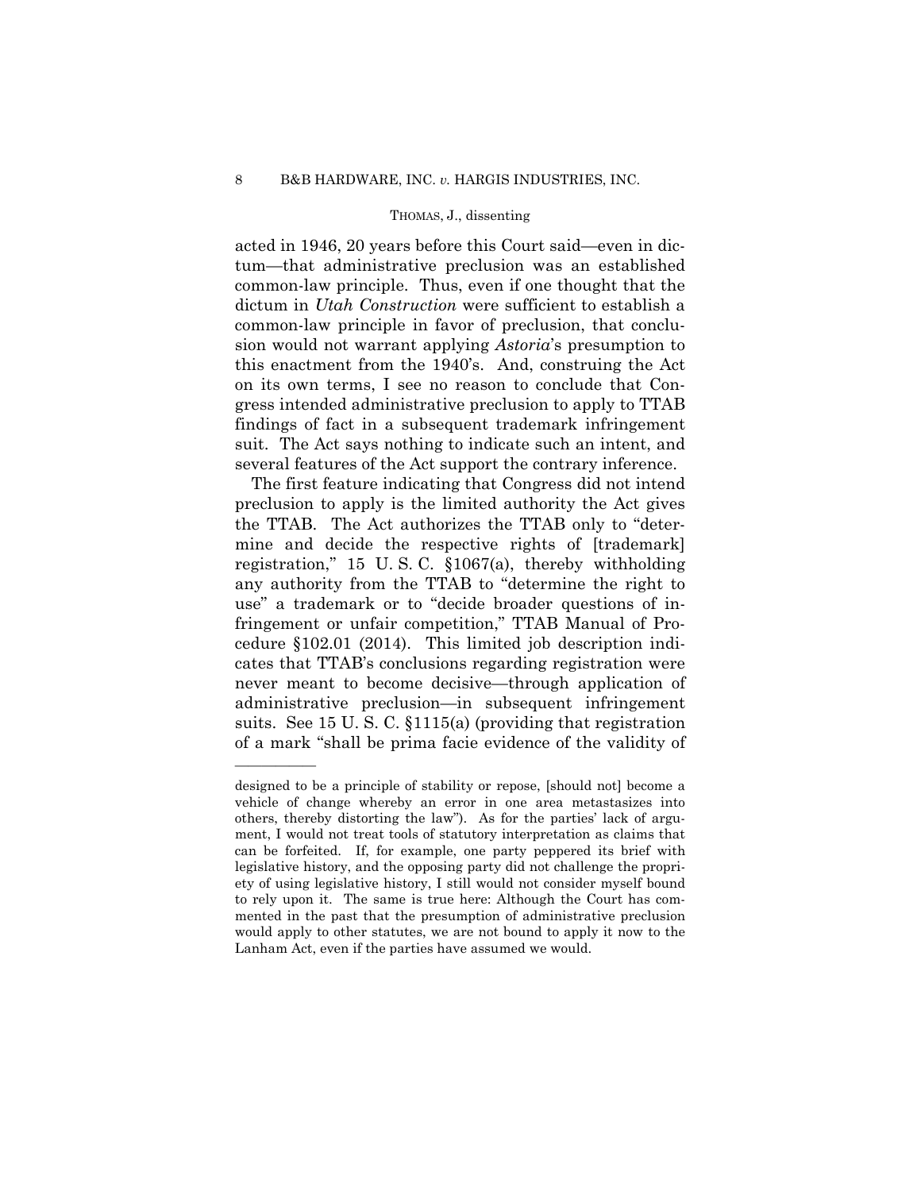acted in 1946, 20 years before this Court said—even in dictum—that administrative preclusion was an established common-law principle. Thus, even if one thought that the dictum in *Utah Construction* were sufficient to establish a common-law principle in favor of preclusion, that conclusion would not warrant applying *Astoria*'s presumption to this enactment from the 1940's. And, construing the Act on its own terms, I see no reason to conclude that Congress intended administrative preclusion to apply to TTAB findings of fact in a subsequent trademark infringement suit. The Act says nothing to indicate such an intent, and several features of the Act support the contrary inference.

The first feature indicating that Congress did not intend preclusion to apply is the limited authority the Act gives the TTAB. The Act authorizes the TTAB only to "determine and decide the respective rights of [trademark] registration," 15 U. S. C. §1067(a), thereby withholding any authority from the TTAB to "determine the right to use" a trademark or to "decide broader questions of infringement or unfair competition," TTAB Manual of Procedure §102.01 (2014). This limited job description indicates that TTAB's conclusions regarding registration were never meant to become decisive—through application of administrative preclusion—in subsequent infringement suits. See 15 U. S. C. §1115(a) (providing that registration of a mark "shall be prima facie evidence of the validity of

designed to be a principle of stability or repose, [should not] become a vehicle of change whereby an error in one area metastasizes into others, thereby distorting the law"). As for the parties' lack of argument, I would not treat tools of statutory interpretation as claims that can be forfeited. If, for example, one party peppered its brief with legislative history, and the opposing party did not challenge the propriety of using legislative history, I still would not consider myself bound to rely upon it. The same is true here: Although the Court has commented in the past that the presumption of administrative preclusion would apply to other statutes, we are not bound to apply it now to the Lanham Act, even if the parties have assumed we would.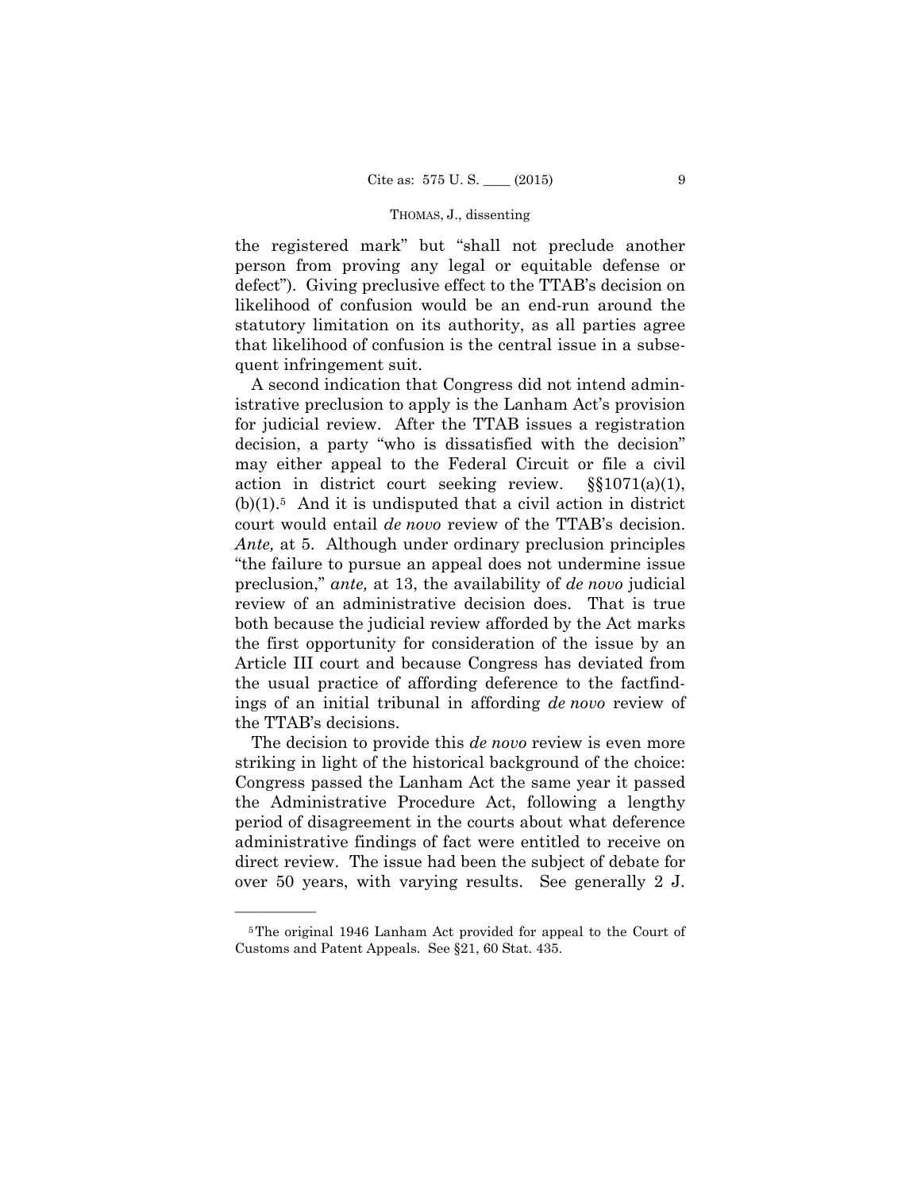the registered mark" but "shall not preclude another person from proving any legal or equitable defense or defect"). Giving preclusive effect to the TTAB's decision on likelihood of confusion would be an end-run around the statutory limitation on its authority, as all parties agree that likelihood of confusion is the central issue in a subsequent infringement suit.

A second indication that Congress did not intend administrative preclusion to apply is the Lanham Act's provision for judicial review. After the TTAB issues a registration decision, a party "who is dissatisfied with the decision" may either appeal to the Federal Circuit or file a civil action in district court seeking review. §§1071(a)(1),  $(b)(1).5$  And it is undisputed that a civil action in district court would entail *de novo* review of the TTAB's decision. *Ante,* at 5. Although under ordinary preclusion principles "the failure to pursue an appeal does not undermine issue preclusion," *ante,* at 13, the availability of *de novo* judicial review of an administrative decision does. That is true both because the judicial review afforded by the Act marks the first opportunity for consideration of the issue by an Article III court and because Congress has deviated from the usual practice of affording deference to the factfindings of an initial tribunal in affording *de novo* review of the TTAB's decisions.

The decision to provide this *de novo* review is even more striking in light of the historical background of the choice: Congress passed the Lanham Act the same year it passed the Administrative Procedure Act, following a lengthy period of disagreement in the courts about what deference administrative findings of fact were entitled to receive on direct review. The issue had been the subject of debate for over 50 years, with varying results. See generally 2 J.

<sup>5</sup>The original 1946 Lanham Act provided for appeal to the Court of Customs and Patent Appeals. See §21, 60 Stat. 435.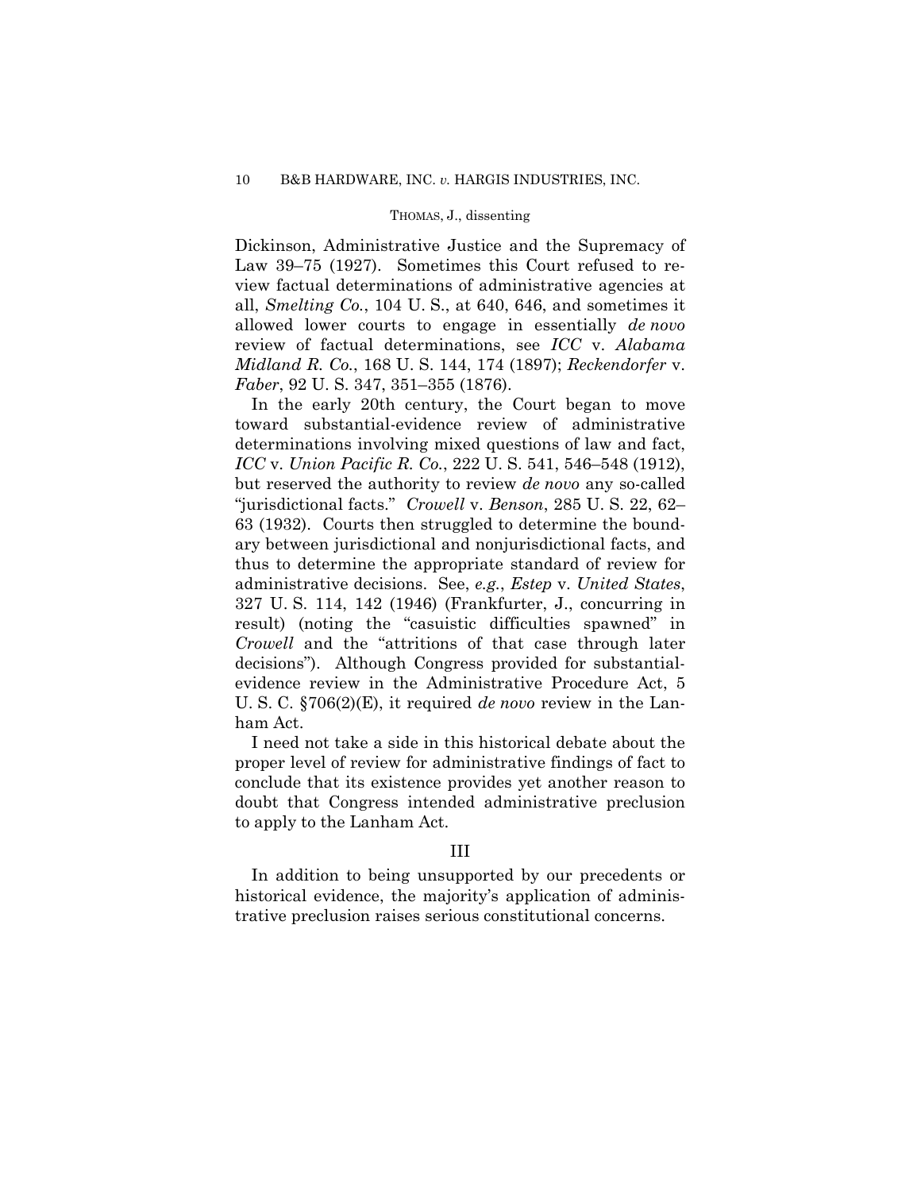Dickinson, Administrative Justice and the Supremacy of Law 39–75 (1927). Sometimes this Court refused to review factual determinations of administrative agencies at all, *Smelting Co.*, 104 U. S., at 640, 646, and sometimes it allowed lower courts to engage in essentially *de novo*  review of factual determinations, see *ICC* v. *Alabama Midland R. Co.*, 168 U. S. 144, 174 (1897); *Reckendorfer* v. *Faber*, 92 U. S. 347, 351–355 (1876).

In the early 20th century, the Court began to move toward substantial-evidence review of administrative determinations involving mixed questions of law and fact, *ICC* v. *Union Pacific R. Co.*, 222 U. S. 541, 546–548 (1912), but reserved the authority to review *de novo* any so-called "jurisdictional facts." *Crowell* v. *Benson*, 285 U. S. 22, 62– 63 (1932). Courts then struggled to determine the boundary between jurisdictional and nonjurisdictional facts, and thus to determine the appropriate standard of review for administrative decisions. See, *e.g.*, *Estep* v. *United States*, 327 U. S. 114, 142 (1946) (Frankfurter, J., concurring in result) (noting the "casuistic difficulties spawned" in *Crowell* and the "attritions of that case through later decisions"). Although Congress provided for substantialevidence review in the Administrative Procedure Act, 5 U. S. C. §706(2)(E), it required *de novo* review in the Lanham Act.

I need not take a side in this historical debate about the proper level of review for administrative findings of fact to conclude that its existence provides yet another reason to doubt that Congress intended administrative preclusion to apply to the Lanham Act.

# III

In addition to being unsupported by our precedents or historical evidence, the majority's application of administrative preclusion raises serious constitutional concerns.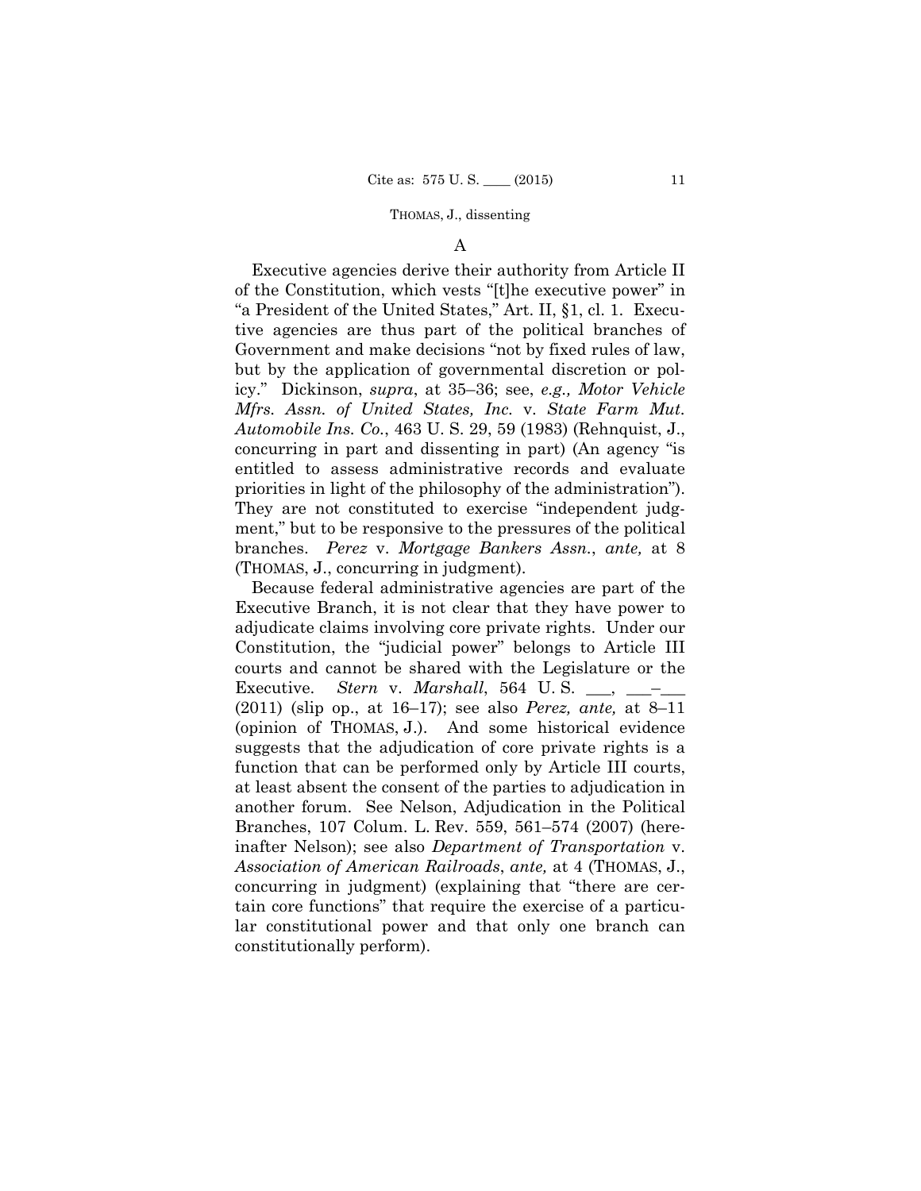## A

 Executive agencies derive their authority from Article II of the Constitution, which vests "[t]he executive power" in "a President of the United States," Art. II, §1, cl. 1. Executive agencies are thus part of the political branches of Government and make decisions "not by fixed rules of law, but by the application of governmental discretion or policy." Dickinson, *supra*, at 35–36; see, *e.g., Motor Vehicle Mfrs. Assn. of United States, Inc.* v. *State Farm Mut. Automobile Ins. Co.*, 463 U. S. 29, 59 (1983) (Rehnquist, J., concurring in part and dissenting in part) (An agency "is entitled to assess administrative records and evaluate priorities in light of the philosophy of the administration"). They are not constituted to exercise "independent judgment," but to be responsive to the pressures of the political branches. *Perez* v. *Mortgage Bankers Assn.*, *ante,* at 8 (THOMAS, J., concurring in judgment).

Because federal administrative agencies are part of the Executive Branch, it is not clear that they have power to adjudicate claims involving core private rights. Under our Constitution, the "judicial power" belongs to Article III courts and cannot be shared with the Legislature or the Executive. *Stern v. Marshall*, 564 U.S. \_\_, \_ (2011) (slip op., at 16–17); see also *Perez, ante,* at 8–11 (opinion of THOMAS, J.). And some historical evidence suggests that the adjudication of core private rights is a function that can be performed only by Article III courts, at least absent the consent of the parties to adjudication in another forum. See Nelson, Adjudication in the Political Branches, 107 Colum. L. Rev. 559, 561–574 (2007) (hereinafter Nelson); see also *Department of Transportation* v. *Association of American Railroads*, *ante,* at 4 (THOMAS, J., concurring in judgment) (explaining that "there are certain core functions" that require the exercise of a particular constitutional power and that only one branch can constitutionally perform).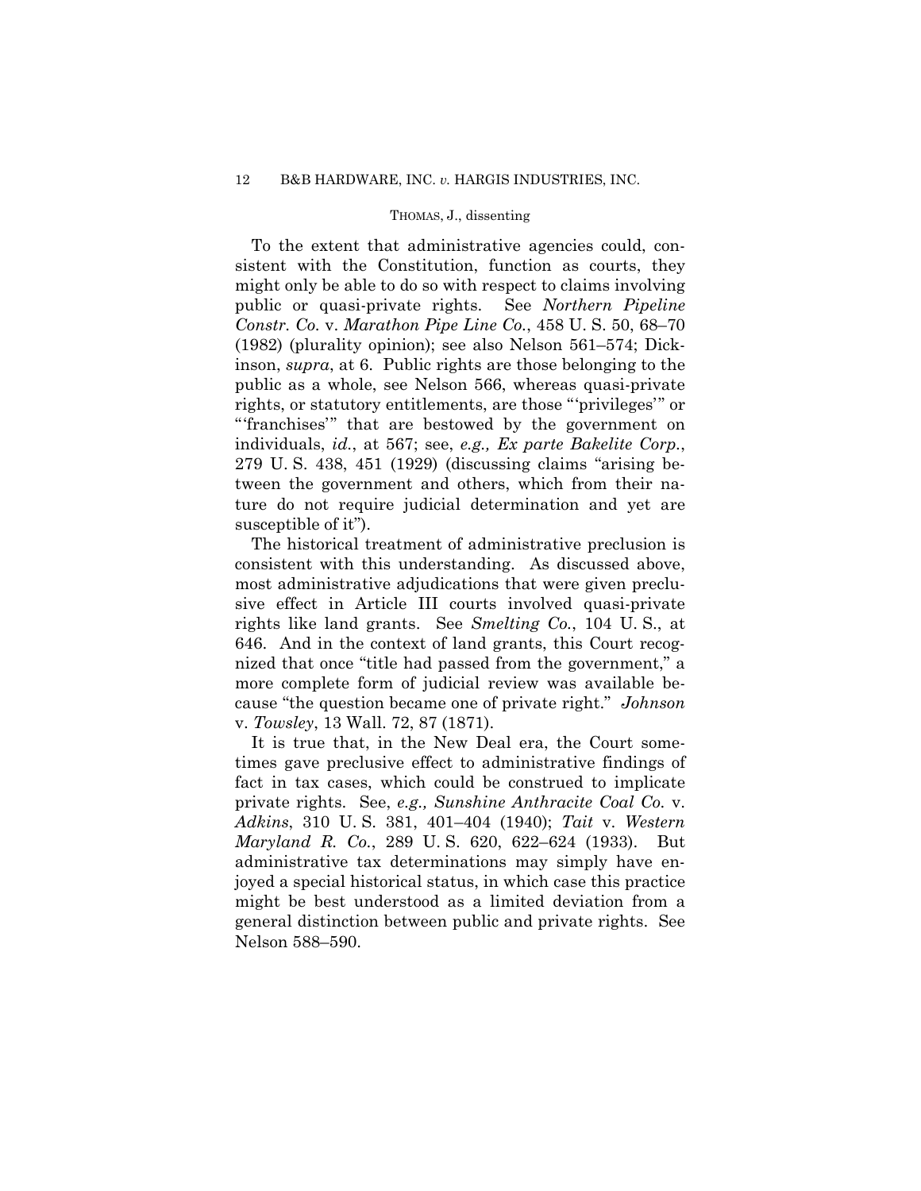To the extent that administrative agencies could, consistent with the Constitution, function as courts, they might only be able to do so with respect to claims involving public or quasi-private rights. See *Northern Pipeline Constr. Co.* v. *Marathon Pipe Line Co.*, 458 U. S. 50, 68–70 (1982) (plurality opinion); see also Nelson 561–574; Dickinson, *supra*, at 6. Public rights are those belonging to the public as a whole, see Nelson 566, whereas quasi-private rights, or statutory entitlements, are those "'privileges'" or "'franchises'" that are bestowed by the government on individuals, *id.*, at 567; see, *e.g., Ex parte Bakelite Corp.*, 279 U. S. 438, 451 (1929) (discussing claims "arising between the government and others, which from their nature do not require judicial determination and yet are susceptible of it").

The historical treatment of administrative preclusion is consistent with this understanding. As discussed above, most administrative adjudications that were given preclusive effect in Article III courts involved quasi-private rights like land grants. See *Smelting Co.*, 104 U. S., at 646. And in the context of land grants, this Court recognized that once "title had passed from the government," a more complete form of judicial review was available because "the question became one of private right." *Johnson*  v. *Towsley*, 13 Wall. 72, 87 (1871).

It is true that, in the New Deal era, the Court sometimes gave preclusive effect to administrative findings of fact in tax cases, which could be construed to implicate private rights. See, *e.g., Sunshine Anthracite Coal Co.* v. *Adkins*, 310 U. S. 381, 401–404 (1940); *Tait* v. *Western Maryland R. Co.*, 289 U. S. 620, 622–624 (1933). But administrative tax determinations may simply have enjoyed a special historical status, in which case this practice might be best understood as a limited deviation from a general distinction between public and private rights. See Nelson 588–590.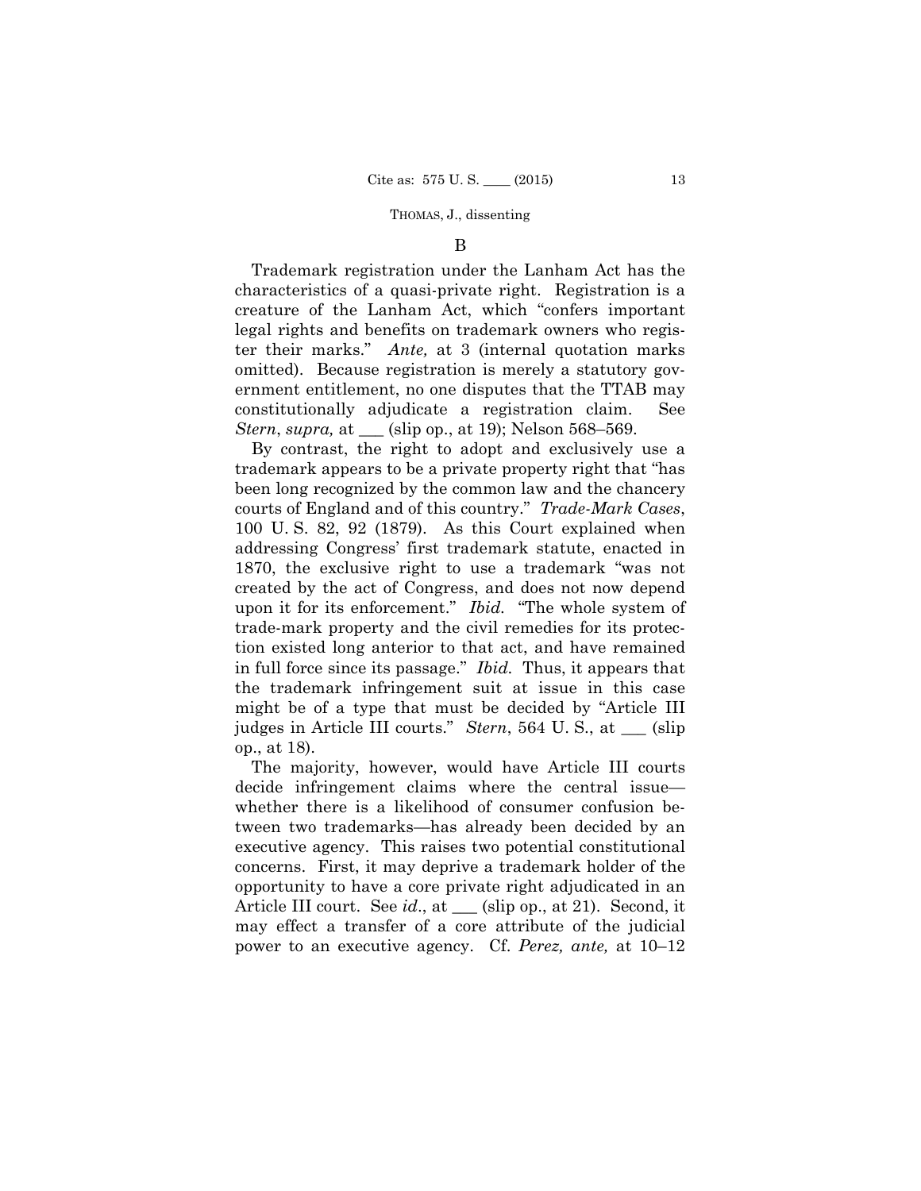### B

 ter their marks." *Ante,* at 3 (internal quotation marks Trademark registration under the Lanham Act has the characteristics of a quasi-private right. Registration is a creature of the Lanham Act, which "confers important legal rights and benefits on trademark owners who regisomitted). Because registration is merely a statutory government entitlement, no one disputes that the TTAB may constitutionally adjudicate a registration claim. See *Stern*, *supra,* at \_\_\_ (slip op., at 19); Nelson 568–569.

By contrast, the right to adopt and exclusively use a trademark appears to be a private property right that "has been long recognized by the common law and the chancery courts of England and of this country." *Trade-Mark Cases*, 100 U. S. 82, 92 (1879). As this Court explained when addressing Congress' first trademark statute, enacted in 1870, the exclusive right to use a trademark "was not created by the act of Congress, and does not now depend upon it for its enforcement." *Ibid.* "The whole system of trade-mark property and the civil remedies for its protection existed long anterior to that act, and have remained in full force since its passage." *Ibid.* Thus, it appears that the trademark infringement suit at issue in this case might be of a type that must be decided by "Article III judges in Article III courts." *Stern*, 564 U. S., at \_\_\_ (slip op., at 18).

The majority, however, would have Article III courts decide infringement claims where the central issue whether there is a likelihood of consumer confusion between two trademarks—has already been decided by an executive agency. This raises two potential constitutional concerns. First, it may deprive a trademark holder of the opportunity to have a core private right adjudicated in an Article III court. See *id*., at \_\_\_ (slip op., at 21). Second, it may effect a transfer of a core attribute of the judicial power to an executive agency. Cf. *Perez, ante,* at 10–12